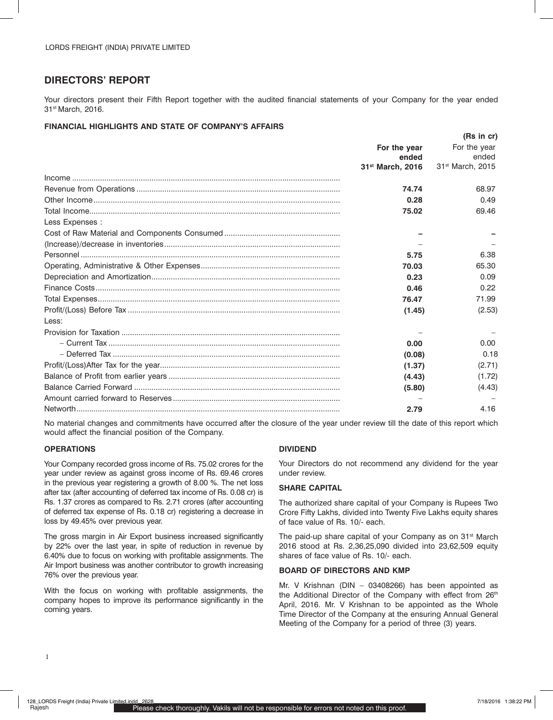# **DIRECTORS' REPORT**

Your directors present their Fifth Report together with the audited financial statements of your Company for the year ended 31st March, 2016.

### **FINANCIAL HIGHLIGHTS AND STATE OF COMPANY'S AFFAIRS**

|                 |                              | (Rs in cr)                   |
|-----------------|------------------------------|------------------------------|
|                 | For the year<br>ended        | For the year<br>ended        |
|                 | 31 <sup>st</sup> March, 2016 | 31 <sup>st</sup> March, 2015 |
|                 |                              |                              |
|                 | 74.74                        | 68.97                        |
|                 | 0.28                         | 0.49                         |
|                 | 75.02                        | 69.46                        |
| Less Expenses : |                              |                              |
|                 |                              |                              |
|                 |                              |                              |
|                 | 5.75                         | 6.38                         |
|                 | 70.03                        | 65.30                        |
|                 | 0.23                         | 0.09                         |
|                 | 0.46                         | 0.22                         |
|                 | 76.47                        | 71.99                        |
|                 | (1.45)                       | (2.53)                       |
| Less:           |                              |                              |
|                 |                              |                              |
|                 | 0.00                         | 0.00                         |
|                 | (0.08)                       | 0.18                         |
|                 | (1.37)                       | (2.71)                       |
|                 | (4.43)                       | (1.72)                       |
|                 | (5.80)                       | (4.43)                       |
|                 |                              |                              |
|                 | 2.79                         | 4.16                         |
|                 |                              |                              |

No material changes and commitments have occurred after the closure of the year under review till the date of this report which would affect the financial position of the Company.

### **OPERATIONS**

Your Company recorded gross income of Rs. 75.02 crores for the year under review as against gross income of Rs. 69.46 crores in the previous year registering a growth of 8.00 %. The net loss after tax (after accounting of deferred tax income of Rs. 0.08 cr) is Rs. 1.37 crores as compared to Rs. 2.71 crores (after accounting of deferred tax expense of Rs. 0.18 cr) registering a decrease in loss by 49.45% over previous year.

The gross margin in Air Export business increased significantly by 22% over the last year, in spite of reduction in revenue by 6.40% due to focus on working with profitable assignments. The Air Import business was another contributor to growth increasing 76% over the previous year.

With the focus on working with profitable assignments, the company hopes to improve its performance significantly in the coming years.

### **DIVIDEND**

Your Directors do not recommend any dividend for the year under review.

### **SHARE CAPITAL**

The authorized share capital of your Company is Rupees Two Crore Fifty Lakhs, divided into Twenty Five Lakhs equity shares of face value of Rs. 10/- each.

The paid-up share capital of your Company as on 31<sup>st</sup> March 2016 stood at Rs. 2,36,25,090 divided into 23,62,509 equity shares of face value of Rs. 10/- each.

### **BOARD OF DIRECTORS AND KMP**

Mr. V Krishnan (DIN – 03408266) has been appointed as the Additional Director of the Company with effect from 26<sup>th</sup> April, 2016. Mr. V Krishnan to be appointed as the Whole Time Director of the Company at the ensuring Annual General Meeting of the Company for a period of three (3) years.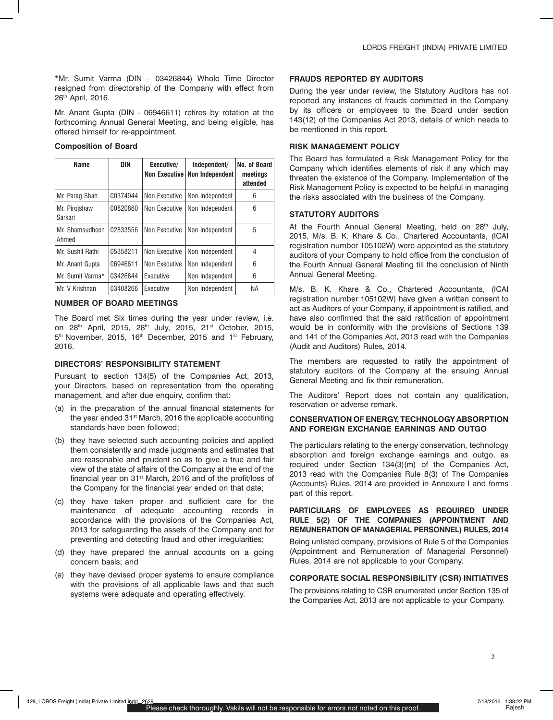\*Mr. Sumit Varma (DIN – 03426844) Whole Time Director resigned from directorship of the Company with effect from 26<sup>th</sup> April, 2016.

Mr. Anant Gupta (DIN - 06946611) retires by rotation at the forthcoming Annual General Meeting, and being eligible, has offered himself for re-appointment.

### **Composition of Board**

| Name                     | DIN      | Executive/<br><b>Non Executive</b> | Independent/<br>Non Independent | No. of Board<br>meetings<br>attended |
|--------------------------|----------|------------------------------------|---------------------------------|--------------------------------------|
| Mr. Parag Shah           | 00374944 | Non Executive                      | Non Independent                 | 6                                    |
| Mr. Pirojshaw<br>Sarkari | 00820860 | Non Executive                      | Non Independent                 | 6                                    |
| Mr. Shamsudheen<br>Ahmed | 02833556 | Non Executive                      | Non Independent                 | 5                                    |
| Mr. Sushil Rathi         | 05358211 | Non Executive                      | Non Independent                 | 4                                    |
| Mr. Anant Gupta          | 06946611 | Non Executive                      | Non Independent                 | 6                                    |
| Mr. Sumit Varma*         | 03426844 | Executive                          | Non Independent                 | 6                                    |
| Mr. V Krishnan           | 03408266 | Executive                          | Non Independent                 | ΝA                                   |

### **NUMBER OF BOARD MEETINGS**

The Board met Six times during the year under review, i.e. on 28<sup>th</sup> April, 2015, 28<sup>th</sup> July, 2015, 21<sup>st</sup> October, 2015, 5<sup>th</sup> November, 2015, 16<sup>th</sup> December, 2015 and 1<sup>st</sup> February, 2016.

#### **DIRECTORS' RESPONSIBILITY STATEMENT**

Pursuant to section 134(5) of the Companies Act, 2013, your Directors, based on representation from the operating management, and after due enquiry, confirm that:

- (a) in the preparation of the annual financial statements for the vear ended 31<sup>st</sup> March, 2016 the applicable accounting standards have been followed;
- (b) they have selected such accounting policies and applied them consistently and made judgments and estimates that are reasonable and prudent so as to give a true and fair view of the state of affairs of the Company at the end of the financial year on 31<sup>st</sup> March, 2016 and of the profit/loss of the Company for the financial year ended on that date;
- (c) they have taken proper and sufficient care for the maintenance of adequate accounting records in accordance with the provisions of the Companies Act, 2013 for safeguarding the assets of the Company and for preventing and detecting fraud and other irregularities;
- (d) they have prepared the annual accounts on a going concern basis; and
- (e) they have devised proper systems to ensure compliance with the provisions of all applicable laws and that such systems were adequate and operating effectively.

### **FRAUDS REPORTED BY AUDITORS**

During the year under review, the Statutory Auditors has not reported any instances of frauds committed in the Company by its officers or employees to the Board under section 143(12) of the Companies Act 2013, details of which needs to be mentioned in this report.

#### **RISK MANAGEMENT POLICY**

The Board has formulated a Risk Management Policy for the Company which identifies elements of risk if any which may threaten the existence of the Company. Implementation of the Risk Management Policy is expected to be helpful in managing the risks associated with the business of the Company.

### **STATUTORY AUDITORS**

At the Fourth Annual General Meeting, held on 28<sup>th</sup> July, 2015, M/s. B. K. Khare & Co., Chartered Accountants, (ICAI registration number 105102W) were appointed as the statutory auditors of your Company to hold office from the conclusion of the Fourth Annual General Meeting till the conclusion of Ninth Annual General Meeting.

M/s. B. K. Khare & Co., Chartered Accountants, (ICAI registration number 105102W) have given a written consent to act as Auditors of your Company, if appointment is ratified, and have also confirmed that the said ratification of appointment would be in conformity with the provisions of Sections 139 and 141 of the Companies Act, 2013 read with the Companies (Audit and Auditors) Rules, 2014.

The members are requested to ratify the appointment of statutory auditors of the Company at the ensuing Annual General Meeting and fix their remuneration.

The Auditors' Report does not contain any qualification, reservation or adverse remark.

#### **CONSERVATION OF ENERGY, TECHNOLOGY ABSORPTION AND FOREIGN EXCHANGE EARNINGS AND OUTGO**

The particulars relating to the energy conservation, technology absorption and foreign exchange earnings and outgo, as required under Section 134(3)(m) of the Companies Act, 2013 read with the Companies Rule 8(3) of The Companies (Accounts) Rules, 2014 are provided in Annexure I and forms part of this report.

### **PARTICULARS OF EMPLOYEES AS REQUIRED UNDER RULE 5(2) OF THE COMPANIES (APPOINTMENT AND REMUNERATION OF MANAGERIAL PERSONNEL) RULES, 2014**

Being unlisted company, provisions of Rule 5 of the Companies (Appointment and Remuneration of Managerial Personnel) Rules, 2014 are not applicable to your Company.

### **CORPORATE SOCIAL RESPONSIBILITY (CSR) INITIATIVES**

The provisions relating to CSR enumerated under Section 135 of the Companies Act, 2013 are not applicable to your Company.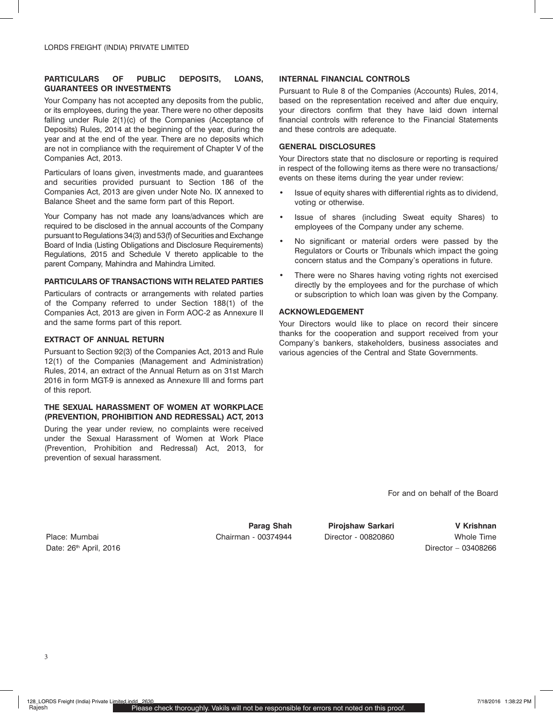### **PARTICULARS OF PUBLIC DEPOSITS, LOANS, GUARANTEES OR INVESTMENTS**

Your Company has not accepted any deposits from the public, or its employees, during the year. There were no other deposits falling under Rule 2(1)(c) of the Companies (Acceptance of Deposits) Rules, 2014 at the beginning of the year, during the year and at the end of the year. There are no deposits which are not in compliance with the requirement of Chapter V of the Companies Act, 2013.

Particulars of loans given, investments made, and guarantees and securities provided pursuant to Section 186 of the Companies Act, 2013 are given under Note No. IX annexed to Balance Sheet and the same form part of this Report.

Your Company has not made any loans/advances which are required to be disclosed in the annual accounts of the Company pursuant to Regulations 34(3) and 53(f) of Securities and Exchange Board of India (Listing Obligations and Disclosure Requirements) Regulations, 2015 and Schedule V thereto applicable to the parent Company, Mahindra and Mahindra Limited.

# **PARTICULARS OF TRANSACTIONS WITH RELATED PARTIES**

Particulars of contracts or arrangements with related parties of the Company referred to under Section 188(1) of the Companies Act, 2013 are given in Form AOC-2 as Annexure II and the same forms part of this report.

# **EXTRACT OF ANNUAL RETURN**

Pursuant to Section 92(3) of the Companies Act, 2013 and Rule 12(1) of the Companies (Management and Administration) Rules, 2014, an extract of the Annual Return as on 31st March 2016 in form MGT-9 is annexed as Annexure III and forms part of this report.

### **THE SEXUAL HARASSMENT OF WOMEN AT WORKPLACE (PREVENTION, PROHIBITION AND REDRESSAL) ACT, 2013**

During the year under review, no complaints were received under the Sexual Harassment of Women at Work Place (Prevention, Prohibition and Redressal) Act, 2013, for prevention of sexual harassment.

# **INTERNAL FINANCIAL CONTROLS**

Pursuant to Rule 8 of the Companies (Accounts) Rules, 2014, based on the representation received and after due enquiry. your directors confirm that they have laid down internal financial controls with reference to the Financial Statements and these controls are adequate.

# **GENERAL DISCLOSURES**

Your Directors state that no disclosure or reporting is required in respect of the following items as there were no transactions/ events on these items during the year under review:

- Issue of equity shares with differential rights as to dividend, voting or otherwise.
- Issue of shares (including Sweat equity Shares) to employees of the Company under any scheme.
- No significant or material orders were passed by the Regulators or Courts or Tribunals which impact the going concern status and the Company's operations in future.
- There were no Shares having voting rights not exercised directly by the employees and for the purchase of which or subscription to which loan was given by the Company.

# **ACKNOWLEDGEMENT**

Your Directors would like to place on record their sincere thanks for the cooperation and support received from your Company's bankers, stakeholders, business associates and various agencies of the Central and State Governments.

For and on behalf of the Board

Date: 26<sup>th</sup> April, 2016 **Director – 03408266** Director – 03408266

Place: Mumbai Chairman - 00374944 Director - 00820860 Whole Time

**Parag Shah Pirojshaw Sarkari V Krishnan**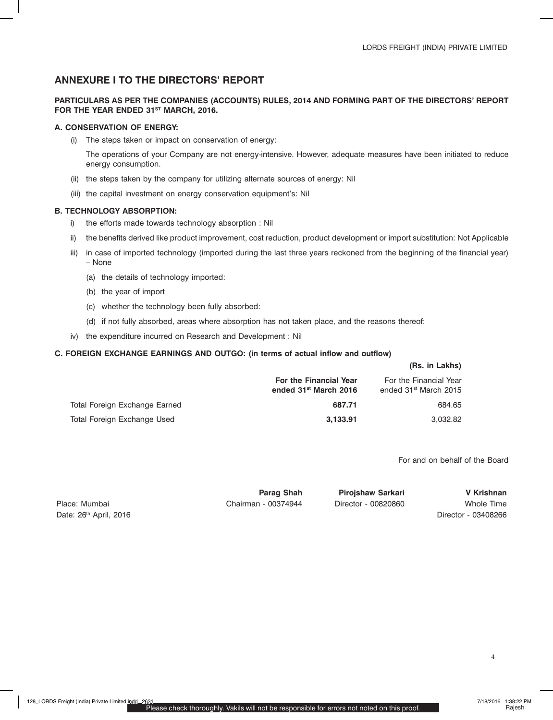# **ANNEXURE I TO THE DIRECTORS' REPORT**

### **PARTICULARS AS PER THE COMPANIES (ACCOUNTS) RULES, 2014 AND FORMING PART OF THE DIRECTORS' REPORT**  FOR THE YEAR ENDED 31<sup>ST</sup> MARCH, 2016.

### **A. CONSERVATION OF ENERGY:**

(i) The steps taken or impact on conservation of energy:

The operations of your Company are not energy-intensive. However, adequate measures have been initiated to reduce energy consumption.

- (ii) the steps taken by the company for utilizing alternate sources of energy: Nil
- (iii) the capital investment on energy conservation equipment's: Nil

### **B. TECHNOLOGY ABSORPTION:**

- i) the efforts made towards technology absorption : Nil
- ii) the benefits derived like product improvement, cost reduction, product development or import substitution: Not Applicable
- iii) in case of imported technology (imported during the last three years reckoned from the beginning of the financial year) – None
	- (a) the details of technology imported:
	- (b) the year of import
	- (c) whether the technology been fully absorbed:
	- (d) if not fully absorbed, areas where absorption has not taken place, and the reasons thereof:
- iv) the expenditure incurred on Research and Development : Nil

### **C. FOREIGN EXCHANGE EARNINGS AND OUTGO: (in terms of actual inflow and outflow)**

|                               | For the Financial Year<br>ended 31 <sup>st</sup> March 2016 | For the Financial Year<br>ended 31 <sup>st</sup> March 2015 |
|-------------------------------|-------------------------------------------------------------|-------------------------------------------------------------|
| Total Foreign Exchange Earned | 687.71                                                      | 684.65                                                      |
| Total Foreign Exchange Used   | 3,133.91                                                    | 3,032.82                                                    |

For and on behalf of the Board

**(Rs. in Lakhs)** 

Date: 26<sup>th</sup> April, 2016 **Director - 03408266** Director - 03408266

Place: Mumbai Chairman - 00374944 Director - 00820860 Whole Time

**Parag Shah Pirojshaw Sarkari V Krishnan**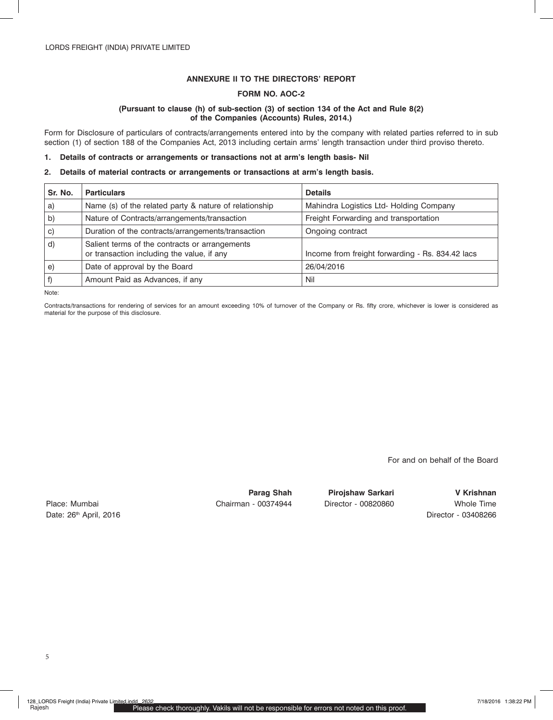# **ANNEXURE II TO THE DIRECTORS' REPORT**

### **FORM NO. AOC-2**

### **(Pursuant to clause (h) of sub-section (3) of section 134 of the Act and Rule 8(2) of the Companies (Accounts) Rules, 2014.)**

Form for Disclosure of particulars of contracts/arrangements entered into by the company with related parties referred to in sub section (1) of section 188 of the Companies Act, 2013 including certain arms' length transaction under third proviso thereto.

### **1. Details of contracts or arrangements or transactions not at arm's length basis- Nil**

#### **2. Details of material contracts or arrangements or transactions at arm's length basis.**

| Sr. No.  | <b>Particulars</b>                                                                           | <b>Details</b>                                   |
|----------|----------------------------------------------------------------------------------------------|--------------------------------------------------|
| a)       | Name (s) of the related party & nature of relationship                                       | Mahindra Logistics Ltd- Holding Company          |
| b)       | Nature of Contracts/arrangements/transaction                                                 | Freight Forwarding and transportation            |
| $\circ)$ | Duration of the contracts/arrangements/transaction                                           | Ongoing contract                                 |
| d)       | Salient terms of the contracts or arrangements<br>or transaction including the value, if any | Income from freight forwarding - Rs. 834.42 lacs |
| e)       | Date of approval by the Board                                                                | 26/04/2016                                       |
|          | Amount Paid as Advances, if any                                                              | Nil                                              |

Note:

Contracts/transactions for rendering of services for an amount exceeding 10% of turnover of the Company or Rs. fifty crore, whichever is lower is considered as material for the purpose of this disclosure.

For and on behalf of the Board

Date: 26<sup>th</sup> April, 2016 **Director - 03408266** Director - 03408266

Place: Mumbai Chairman - 00374944 Director - 00820860 Whole Time

**Parag Shah Pirojshaw Sarkari V Krishnan**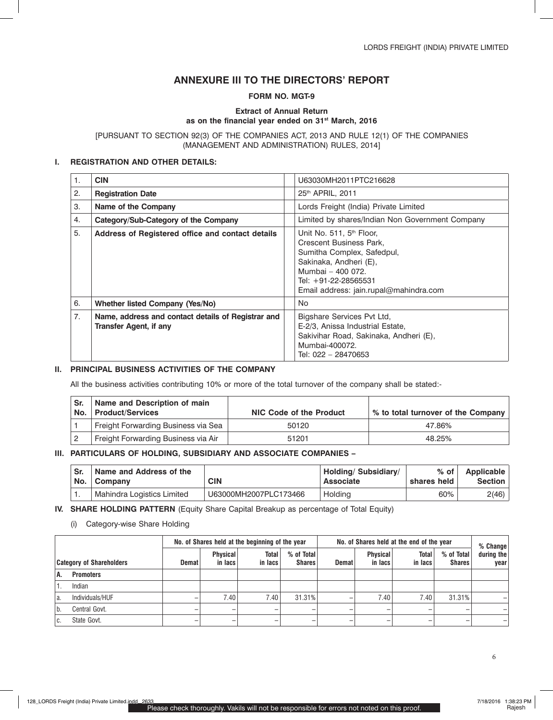# **ANNEXURE III TO THE DIRECTORS' REPORT**

# **Form No. MGT-9**

### **Extract of Annual Return as on the financial year ended on 31st March, 2016**

### [PURSUANT TO SECTION 92(3) OF THE COMPANIES ACT, 2013 AND RULE 12(1) OF THE COMPANIES (MANAGEMENT AND ADMINISTRATION) RULES, 2014]

### **I. REGISTRATION AND OTHER DETAILS:**

| 1. | <b>CIN</b>                                                                          | U63030MH2011PTC216628                                                                                                                                                                                          |
|----|-------------------------------------------------------------------------------------|----------------------------------------------------------------------------------------------------------------------------------------------------------------------------------------------------------------|
| 2. | <b>Registration Date</b>                                                            | 25th APRIL, 2011                                                                                                                                                                                               |
| 3. | Name of the Company                                                                 | Lords Freight (India) Private Limited                                                                                                                                                                          |
| 4. | Category/Sub-Category of the Company                                                | Limited by shares/Indian Non Government Company                                                                                                                                                                |
| 5. | Address of Registered office and contact details                                    | Unit No. 511, 5 <sup>th</sup> Floor,<br>Crescent Business Park,<br>Sumitha Complex, Safedpul,<br>Sakinaka, Andheri (E),<br>Mumbai - 400 072.<br>Tel: +91-22-28565531<br>Email address: jain.rupal@mahindra.com |
| 6. | Whether listed Company (Yes/No)                                                     | No.                                                                                                                                                                                                            |
| 7. | Name, address and contact details of Registrar and<br><b>Transfer Agent, if any</b> | Bigshare Services Pvt Ltd,<br>E-2/3, Anissa Industrial Estate,<br>Sakivihar Road, Sakinaka, Andheri (E),<br>Mumbai-400072.<br>Tel: 022 - 28470653                                                              |

## **II. PRINCIPAL BUSINESS ACTIVITIES OF THE COMPANY**

All the business activities contributing 10% or more of the total turnover of the company shall be stated:-

| Sr. | Name and Description of main<br>No. Product/Services | NIC Code of the Product | ↓% to total turnover of the Company |
|-----|------------------------------------------------------|-------------------------|-------------------------------------|
|     | Freight Forwarding Business via Sea                  | 50120                   | 47.86%                              |
|     | Freight Forwarding Business via Air                  | 51201                   | 48.25%                              |

## **III. PARTICULARS OF HOLDING, SUBSIDIARY AND ASSOCIATE COMPANIES –**

| Sr. | Name and Address of the<br>No. Company | <b>CIN</b>            | Holding/ Subsidiary/<br><b>Associate</b> | $%$ of $ $<br>shares held | Applicable<br>Section |
|-----|----------------------------------------|-----------------------|------------------------------------------|---------------------------|-----------------------|
|     | Mahindra Logistics Limited             | U63000MH2007PLC173466 | Holding                                  | 60%                       | 2(46)                 |

**IV. SHARE HOLDING PATTERN** (Equity Share Capital Breakup as percentage of Total Equity)

(i) Category-wise Share Holding

| <b>Category of Shareholders</b> |                  | No. of Shares held at the beginning of the year |                            |                         |                             | No. of Shares held at the end of the year |                            |                         |                             | $%$ Change         |
|---------------------------------|------------------|-------------------------------------------------|----------------------------|-------------------------|-----------------------------|-------------------------------------------|----------------------------|-------------------------|-----------------------------|--------------------|
|                                 |                  | Demat                                           | <b>Physical</b><br>in lacs | <b>Total</b><br>in lacs | % of Total<br><b>Shares</b> | <b>Demat</b>                              | <b>Physical</b><br>in lacs | <b>Total</b><br>in lacs | % of Total<br><b>Shares</b> | during the<br>vear |
| Α.                              | <b>Promoters</b> |                                                 |                            |                         |                             |                                           |                            |                         |                             |                    |
|                                 | Indian           |                                                 |                            |                         |                             |                                           |                            |                         |                             |                    |
| a.                              | Individuals/HUF  |                                                 | 7.40                       | 7.40                    | 31.31%                      |                                           | 7.40                       | 7.40                    | 31.31%                      |                    |
| b.                              | Central Govt.    |                                                 |                            |                         |                             |                                           |                            |                         |                             |                    |
| ۰C.                             | State Govt.      |                                                 |                            |                         |                             |                                           |                            |                         |                             |                    |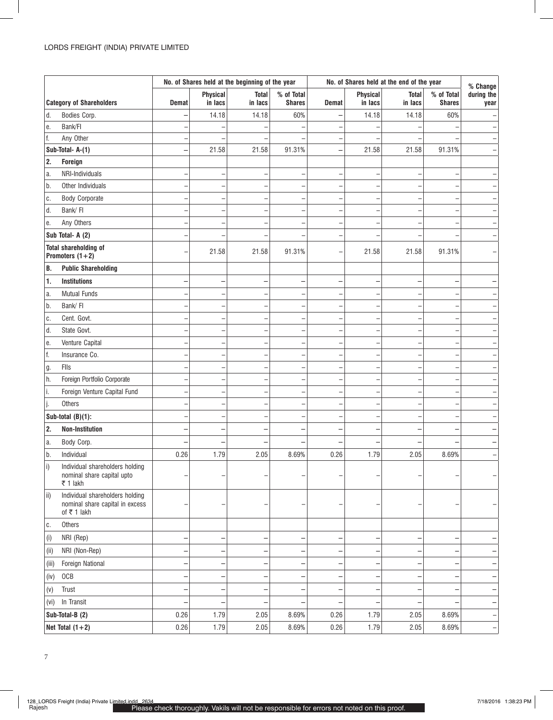|                   |                                                                                   |              |                 | No. of Shares held at the beginning of the year |               | No. of Shares held at the end of the year |          |              | % Change      |                          |
|-------------------|-----------------------------------------------------------------------------------|--------------|-----------------|-------------------------------------------------|---------------|-------------------------------------------|----------|--------------|---------------|--------------------------|
|                   |                                                                                   |              | <b>Physical</b> | <b>Total</b>                                    | % of Total    |                                           | Physical | <b>Total</b> | % of Total    | during the               |
|                   | <b>Category of Shareholders</b>                                                   | <b>Demat</b> | in lacs         | in lacs                                         | <b>Shares</b> | <b>Demat</b>                              | in lacs  | in lacs      | <b>Shares</b> | year                     |
| d.                | Bodies Corp.                                                                      |              | 14.18           | 14.18                                           | 60%           |                                           | 14.18    | 14.18        | 60%           |                          |
| е.                | Bank/FI                                                                           |              |                 |                                                 |               |                                           |          |              |               |                          |
| f.                | Any Other                                                                         |              |                 |                                                 |               |                                           |          |              |               |                          |
|                   | Sub-Total- A-(1)                                                                  |              | 21.58           | 21.58                                           | 91.31%        |                                           | 21.58    | 21.58        | 91.31%        |                          |
| 2.                | <b>Foreign</b>                                                                    |              |                 |                                                 |               |                                           |          |              |               |                          |
| a.                | NRI-Individuals                                                                   |              | L               | $\overline{\phantom{0}}$                        | ٠             |                                           |          |              |               |                          |
| b.                | Other Individuals                                                                 |              |                 |                                                 |               |                                           |          |              |               |                          |
| C.                | <b>Body Corporate</b>                                                             |              | -               | $\overline{\phantom{0}}$                        |               |                                           |          |              |               |                          |
| d.                | Bank/FI                                                                           |              |                 | $\overline{\phantom{0}}$                        |               |                                           |          |              |               |                          |
| е.                | Any Others                                                                        |              |                 |                                                 |               |                                           |          |              |               |                          |
|                   | Sub Total- A (2)                                                                  |              |                 |                                                 |               |                                           |          |              |               |                          |
|                   | <b>Total shareholding of</b><br>Promoters $(1+2)$                                 |              | 21.58           | 21.58                                           | 91.31%        |                                           | 21.58    | 21.58        | 91.31%        |                          |
| В.                | <b>Public Shareholding</b>                                                        |              |                 |                                                 |               |                                           |          |              |               |                          |
| 1.                | <b>Institutions</b>                                                               |              |                 | -                                               |               |                                           |          |              |               |                          |
| a.                | <b>Mutual Funds</b>                                                               |              |                 | ÷                                               |               |                                           |          |              |               |                          |
| b.                | Bank/FI                                                                           |              |                 | -                                               |               |                                           |          |              |               |                          |
| C.                | Cent. Govt.                                                                       |              | -               | -                                               | ۰             |                                           |          |              |               |                          |
| d.                | State Govt.                                                                       |              |                 | -                                               |               |                                           |          |              |               |                          |
| е.                | Venture Capital                                                                   |              |                 |                                                 |               |                                           |          |              |               |                          |
| f.                | Insurance Co.                                                                     |              |                 | ۳                                               |               |                                           |          |              |               |                          |
| g.                | Flls                                                                              |              | -               | ۳                                               | ٠             |                                           |          |              |               |                          |
| h.                | Foreign Portfolio Corporate                                                       |              |                 | -                                               |               |                                           |          |              |               |                          |
| i.                | Foreign Venture Capital Fund                                                      |              |                 | ÷                                               |               |                                           |          |              |               |                          |
| J.                | Others                                                                            |              | -               | $\overline{\phantom{0}}$                        |               |                                           |          |              |               |                          |
|                   | Sub-total $(B)(1)$ :                                                              |              |                 | ÷                                               |               |                                           |          |              |               |                          |
| 2.                | <b>Non-Institution</b>                                                            |              |                 | -                                               |               |                                           |          |              |               |                          |
| a.                | Body Corp.                                                                        |              |                 |                                                 |               |                                           |          |              |               |                          |
| b.                | Individual                                                                        | 0.26         | 1.79            | 2.05                                            | 8.69%         | 0.26                                      | 1.79     | 2.05         | 8.69%         |                          |
| $\vert i \rangle$ | Individual shareholders holding<br>nominal share capital upto<br>₹ 1 lakh         |              |                 |                                                 |               |                                           |          |              |               |                          |
| $\overline{ii}$   | Individual shareholders holding<br>nominal share capital in excess<br>of ₹ 1 lakh |              |                 |                                                 |               |                                           |          |              |               |                          |
| C.                | Others                                                                            |              |                 |                                                 |               |                                           |          |              |               |                          |
| (i)               | NRI (Rep)                                                                         |              |                 | $\overline{\phantom{0}}$                        | -             |                                           |          |              |               |                          |
| (ii)              | NRI (Non-Rep)                                                                     |              |                 | -                                               |               |                                           |          |              |               |                          |
| (iii)             | Foreign National                                                                  |              |                 | $\overline{\phantom{0}}$                        | -             |                                           |          |              |               |                          |
| (iv)              | OCB                                                                               |              |                 | -                                               |               |                                           |          |              |               |                          |
| (v)               | Trust                                                                             |              |                 | $\overline{\phantom{0}}$                        | -             |                                           |          |              |               |                          |
| (vi)              | In Transit                                                                        |              |                 | $\overline{\phantom{0}}$                        |               |                                           |          |              |               | $\overline{\phantom{0}}$ |
|                   | Sub-Total-B (2)                                                                   | 0.26         | 1.79            | 2.05                                            | 8.69%         | 0.26                                      | 1.79     | 2.05         | 8.69%         | <b>-</b>                 |
|                   | Net Total $(1+2)$                                                                 | 0.26         | 1.79            | 2.05                                            | 8.69%         | 0.26                                      | 1.79     | 2.05         | 8.69%         | $\overline{\phantom{m}}$ |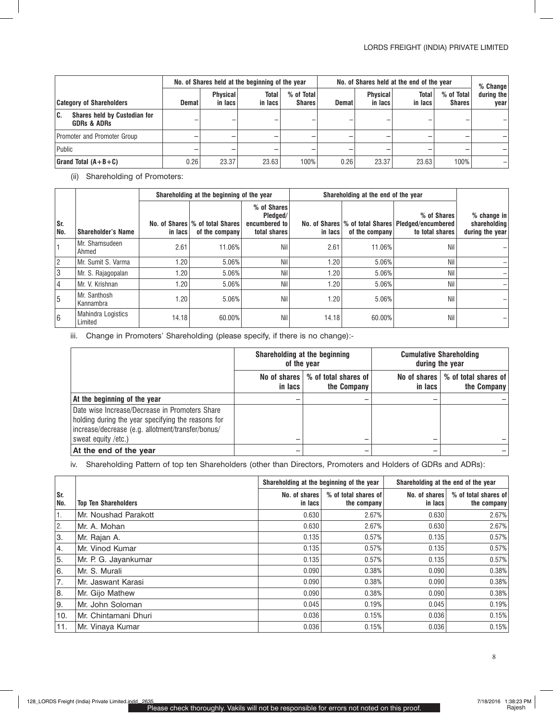|                                                                     | No. of Shares held at the beginning of the year |                            |                  | No. of Shares held at the end of the year |       |                            |                  | % Change                    |                    |
|---------------------------------------------------------------------|-------------------------------------------------|----------------------------|------------------|-------------------------------------------|-------|----------------------------|------------------|-----------------------------|--------------------|
| <b>Category of Shareholders</b>                                     | Demat                                           | <b>Physical</b><br>in lacs | Total<br>in lacs | % of Total<br><b>Shares</b>               | Demat | <b>Physical</b><br>in lacs | Total<br>in lacs | % of Total<br><b>Shares</b> | during the<br>vear |
| <b>Shares held by Custodian for</b><br>C.<br><b>GDRs &amp; ADRs</b> |                                                 |                            |                  |                                           |       |                            |                  |                             |                    |
| Promoter and Promoter Group                                         |                                                 |                            |                  |                                           |       |                            |                  |                             |                    |
| Public                                                              |                                                 |                            |                  |                                           |       |                            |                  |                             |                    |
| Grand Total $(A+B+C)$                                               | 0.26                                            | 23.37                      | 23.63            | 100%                                      | 0.26  | 23.37                      | 23.63            | 100%                        |                    |

(ii) Shareholding of Promoters:

|                 |                               |         | Shareholding at the beginning of the year          |                                                          | Shareholding at the end of the year |                |                                                                                        |                                                |
|-----------------|-------------------------------|---------|----------------------------------------------------|----------------------------------------------------------|-------------------------------------|----------------|----------------------------------------------------------------------------------------|------------------------------------------------|
| Sr.<br>No.      | <b>Shareholder's Name</b>     | in lacs | No. of Shares \% of total Shares<br>of the company | % of Shares<br>Pledged/<br>encumbered to<br>total shares | in lacs                             | of the company | % of Shares<br>No. of Shares % of total Shares   Pledged/encumbered<br>to total shares | % change in<br>shareholding<br>during the year |
|                 | Mr. Shamsudeen<br>Ahmed       | 2.61    | 11.06%                                             | Nil                                                      | 2.61                                | 11.06%         | Nil                                                                                    |                                                |
| $\overline{2}$  | Mr. Sumit S. Varma            | 1.20    | 5.06%                                              | Nil                                                      | 1.20                                | 5.06%          | Nil                                                                                    |                                                |
| $\overline{3}$  | Mr. S. Rajagopalan            | 1.20    | 5.06%                                              | Nil                                                      | 1.20                                | 5.06%          | Nil                                                                                    |                                                |
| $\overline{4}$  | Mr. V. Krishnan               | 1.20    | 5.06%                                              | Nil                                                      | 1.20                                | 5.06%          | Nil                                                                                    |                                                |
| 5               | Mr. Santhosh<br>Kannambra     | 1.20    | 5.06%                                              | Nil                                                      | 1.20                                | 5.06%          | Nil                                                                                    |                                                |
| $6\phantom{.}6$ | Mahindra Logistics<br>Limited | 14.18   | 60.00%                                             | Nil                                                      | 14.18                               | 60.00%         | Nil                                                                                    |                                                |

iii. Change in Promoters' Shareholding (please specify, if there is no change):-

|                                                                                                                                                                                  |         | Shareholding at the beginning<br>of the year       | <b>Cumulative Shareholding</b><br>during the year |                                     |  |
|----------------------------------------------------------------------------------------------------------------------------------------------------------------------------------|---------|----------------------------------------------------|---------------------------------------------------|-------------------------------------|--|
|                                                                                                                                                                                  | in lacs | No of shares   % of total shares of<br>the Company | No of shares<br>in lacs                           | % of total shares of<br>the Company |  |
| At the beginning of the year                                                                                                                                                     |         |                                                    |                                                   |                                     |  |
| Date wise Increase/Decrease in Promoters Share<br>holding during the year specifying the reasons for<br>increase/decrease (e.g. allotment/transfer/bonus/<br>sweat equity /etc.) |         |                                                    |                                                   |                                     |  |
| At the end of the year                                                                                                                                                           |         |                                                    |                                                   |                                     |  |

iv. Shareholding Pattern of top ten Shareholders (other than Directors, Promoters and Holders of GDRs and ADRs):

|            |                             | Shareholding at the beginning of the year |                                     | Shareholding at the end of the year |                                     |  |
|------------|-----------------------------|-------------------------------------------|-------------------------------------|-------------------------------------|-------------------------------------|--|
| Sr.<br>No. | <b>Top Ten Shareholders</b> | No. of shares<br>in lacs                  | % of total shares of<br>the company | No. of shares<br>in lacs            | % of total shares of<br>the company |  |
| 1.         | Mr. Noushad Parakott        | 0.630                                     | 2.67%                               | 0.630                               | 2.67%                               |  |
| 2.         | Mr. A. Mohan                | 0.630                                     | 2.67%                               | 0.630                               | 2.67%                               |  |
| 3.         | Mr. Rajan A.                | 0.135                                     | 0.57%                               | 0.135                               | 0.57%                               |  |
| 14.        | Mr. Vinod Kumar             | 0.135                                     | 0.57%                               | 0.135                               | 0.57%                               |  |
| 5.         | Mr. P. G. Jayankumar        | 0.135                                     | 0.57%                               | 0.135                               | 0.57%                               |  |
| 6.         | Mr. S. Murali               | 0.090                                     | 0.38%                               | 0.090                               | 0.38%                               |  |
| 7.         | Mr. Jaswant Karasi          | 0.090                                     | 0.38%                               | 0.090                               | 0.38%                               |  |
| 8.         | Mr. Gijo Mathew             | 0.090                                     | 0.38%                               | 0.090                               | 0.38%                               |  |
| l9.        | Mr. John Soloman            | 0.045                                     | 0.19%                               | 0.045                               | 0.19%                               |  |
| 10.        | Mr. Chintamani Dhuri        | 0.036                                     | 0.15%                               | 0.036                               | 0.15%                               |  |
| 11.        | Mr. Vinaya Kumar            | 0.036                                     | 0.15%                               | 0.036                               | 0.15%                               |  |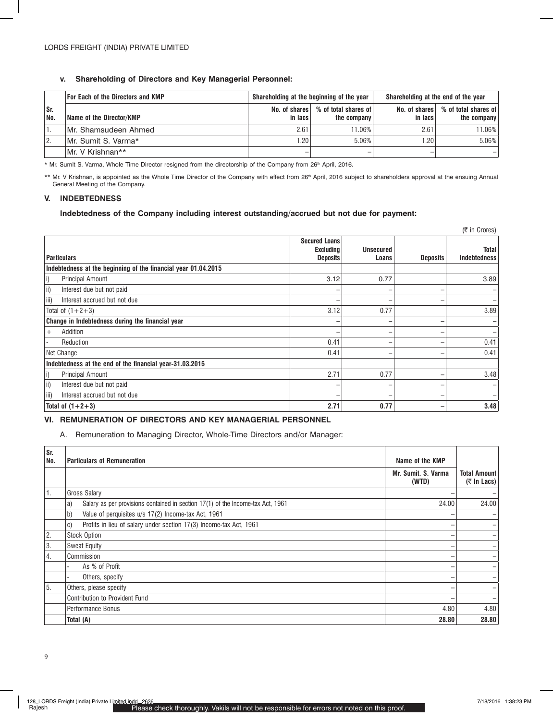# **v. Shareholding of Directors and Key Managerial Personnel:**

|            | <b>For Each of the Directors and KMP</b> | Shareholding at the beginning of the year |                                     | Shareholding at the end of the year |                                                     |
|------------|------------------------------------------|-------------------------------------------|-------------------------------------|-------------------------------------|-----------------------------------------------------|
| Sr.<br>No. | Name of the Director/KMP                 | No. of shares<br>in lacs                  | % of total shares of<br>the company | in lacs                             | No. of shares   % of total shares of<br>the company |
|            | Mr. Shamsudeen Ahmed                     | 2.61                                      | 11.06%                              | 2.61                                | 11.06%                                              |
| 2.         | Mr. Sumit S. Varma*                      | 1.20                                      | 5.06%                               | .20 <sub>1</sub>                    | 5.06%                                               |
|            | Mr. V Krishnan**                         |                                           |                                     | $\overline{\phantom{a}}$            |                                                     |

\* Mr. Sumit S. Varma, Whole Time Director resigned from the directorship of the Company from 26th April, 2016.

\*\* Mr. V Krishnan, is appointed as the Whole Time Director of the Company with effect from 26<sup>th</sup> April, 2016 subject to shareholders approval at the ensuing Annual General Meeting of the Company.

# **V. INDEBTEDNESS**

### **Indebtedness of the Company including interest outstanding/accrued but not due for payment:**

| $(5 \in \text{C} \text{ (C} \text{ (C} \text{ (C} \text{ (D) } \text{ (D} \text{ (D) } \text{ (E} \text{ (E} \text{ (D) } \text{ (E} \text{ (E} \text{ (E} \text{ (D) } \text{ (E} \text{ (E} \text{ (E} \text{ (E} \text{ (E} \text{ (E} \text{ (E} \text{ (E} \text{ (E} \text{ (E} \text{ (E} \text{ (E} \text{ (E} \text{ (E} \text{ (E} \text{ (E} \text{ (E} \text{ (E} \text{ (E} \text{ (E} \text{ (E} \text{$ |                                                             |                           |                 |                              |  |
|------------------------------------------------------------------------------------------------------------------------------------------------------------------------------------------------------------------------------------------------------------------------------------------------------------------------------------------------------------------------------------------------------------------------|-------------------------------------------------------------|---------------------------|-----------------|------------------------------|--|
| <b>Particulars</b>                                                                                                                                                                                                                                                                                                                                                                                                     | <b>Secured Loans</b><br><b>Excluding</b><br><b>Deposits</b> | <b>Unsecured</b><br>Loans | <b>Deposits</b> | Total<br><b>Indebtedness</b> |  |
| Indebtedness at the beginning of the financial year 01.04.2015                                                                                                                                                                                                                                                                                                                                                         |                                                             |                           |                 |                              |  |
| Principal Amount<br>i)                                                                                                                                                                                                                                                                                                                                                                                                 | 3.12                                                        | 0.77                      |                 | 3.89                         |  |
| ii)<br>Interest due but not paid                                                                                                                                                                                                                                                                                                                                                                                       |                                                             |                           |                 |                              |  |
| iii)<br>Interest accrued but not due                                                                                                                                                                                                                                                                                                                                                                                   | $\overline{\phantom{0}}$                                    |                           |                 |                              |  |
| Total of $(1+2+3)$                                                                                                                                                                                                                                                                                                                                                                                                     | 3.12                                                        | 0.77                      |                 | 3.89                         |  |
| Change in Indebtedness during the financial year                                                                                                                                                                                                                                                                                                                                                                       |                                                             |                           | -               |                              |  |
| Addition<br>$^{+}$                                                                                                                                                                                                                                                                                                                                                                                                     | $\overline{\phantom{0}}$                                    |                           |                 |                              |  |
| Reduction                                                                                                                                                                                                                                                                                                                                                                                                              | 0.41                                                        |                           | -               | 0.41                         |  |
| Net Change                                                                                                                                                                                                                                                                                                                                                                                                             | 0.41                                                        |                           |                 | 0.41                         |  |
| Indebtedness at the end of the financial year-31.03.2015                                                                                                                                                                                                                                                                                                                                                               |                                                             |                           |                 |                              |  |
| Principal Amount<br>i)                                                                                                                                                                                                                                                                                                                                                                                                 | 2.71                                                        | 0.77                      |                 | 3.48                         |  |
| ii)<br>Interest due but not paid                                                                                                                                                                                                                                                                                                                                                                                       | $\overline{\phantom{0}}$                                    |                           |                 |                              |  |
| iii)<br>Interest accrued but not due                                                                                                                                                                                                                                                                                                                                                                                   |                                                             |                           |                 |                              |  |
| Total of $(1+2+3)$                                                                                                                                                                                                                                                                                                                                                                                                     | 2.71                                                        | 0.77                      | -               | 3.48                         |  |

## **VI. REMUNERATION OF DIRECTORS AND KEY MANAGERIAL PERSONNEL**

A. Remuneration to Managing Director, Whole-Time Directors and/or Manager:

| Sr.<br>No. | <b>Particulars of Remuneration</b>                                                    | Name of the KMP              |                                           |
|------------|---------------------------------------------------------------------------------------|------------------------------|-------------------------------------------|
|            |                                                                                       | Mr. Sumit. S. Varma<br>(WTD) | <b>Total Amount</b><br>$($ ₹ In Lacs) $ $ |
|            | Gross Salary                                                                          |                              |                                           |
|            | Salary as per provisions contained in section 17(1) of the Income-tax Act, 1961<br>a) | 24.00                        | 24.00                                     |
|            | b)<br>Value of perquisites u/s 17(2) Income-tax Act, 1961                             |                              |                                           |
|            | Profits in lieu of salary under section 17(3) Income-tax Act, 1961<br>C)              |                              |                                           |
| 2.         | <b>Stock Option</b>                                                                   |                              |                                           |
| 3.         | <b>Sweat Equity</b>                                                                   |                              |                                           |
| 4.         | Commission                                                                            |                              |                                           |
|            | As % of Profit                                                                        |                              |                                           |
|            | Others, specify                                                                       |                              |                                           |
| 15.        | Others, please specify                                                                |                              |                                           |
|            | Contribution to Provident Fund                                                        |                              |                                           |
|            | Performance Bonus                                                                     | 4.80                         | 4.80                                      |
|            | Total (A)                                                                             | 28.80                        | 28.80                                     |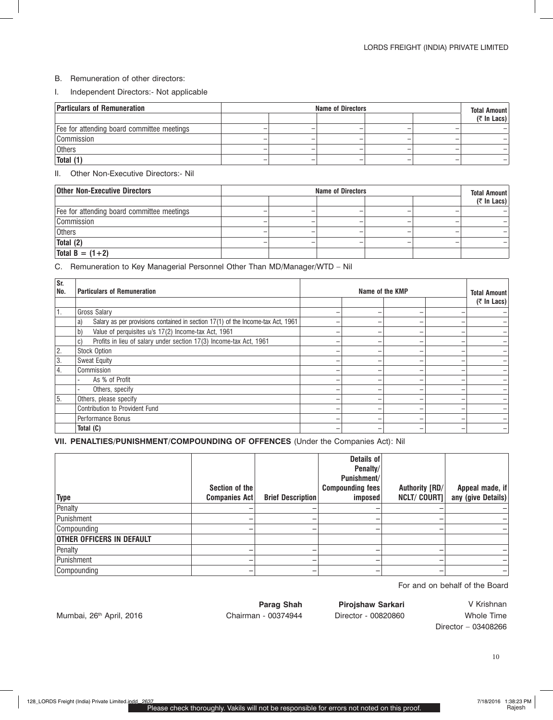### B. Remuneration of other directors:

### I. Independent Directors:- Not applicable

| <b>Particulars of Remuneration</b>         | <b>Name of Directors</b> |  |  |  | <b>Total Amount</b> |                |
|--------------------------------------------|--------------------------|--|--|--|---------------------|----------------|
|                                            |                          |  |  |  |                     | $($ ₹ In Lacs) |
| Fee for attending board committee meetings |                          |  |  |  |                     |                |
| Commission                                 |                          |  |  |  |                     |                |
| <b>Others</b>                              |                          |  |  |  |                     |                |
| Total (1)                                  |                          |  |  |  |                     |                |

# II. Other Non-Executive Directors:- Nil

| <b>Other Non-Executive Directors</b>       | <b>Name of Directors</b> |  |  |  |  | <b>Total Amount</b> |
|--------------------------------------------|--------------------------|--|--|--|--|---------------------|
|                                            |                          |  |  |  |  | $($ ₹ In Lacs)      |
| Fee for attending board committee meetings |                          |  |  |  |  |                     |
| Commission                                 |                          |  |  |  |  |                     |
| <b>Others</b>                              |                          |  |  |  |  |                     |
| Total (2)                                  |                          |  |  |  |  |                     |
| Total $B = (1 + 2)$                        |                          |  |  |  |  |                     |

### C. Remuneration to Key Managerial Personnel Other Than MD/Manager/WTD – Nil

| Sr.<br>No.       | <b>Particulars of Remuneration</b>                                                    | Name of the KMP |  |                          |  |                                           |
|------------------|---------------------------------------------------------------------------------------|-----------------|--|--------------------------|--|-------------------------------------------|
|                  |                                                                                       |                 |  |                          |  | <b>Total Amount</b><br>$($ ₹ In Lacs) $ $ |
|                  | <b>Gross Salary</b>                                                                   |                 |  | -                        |  |                                           |
|                  | Salary as per provisions contained in section 17(1) of the Income-tax Act, 1961<br>a) |                 |  |                          |  |                                           |
|                  | Value of perquisites u/s 17(2) Income-tax Act, 1961<br>b)                             |                 |  |                          |  |                                           |
|                  | Profits in lieu of salary under section 17(3) Income-tax Act, 1961<br>C)              |                 |  | -                        |  |                                           |
| 2.               | <b>Stock Option</b>                                                                   |                 |  | -                        |  |                                           |
| 3.               | <b>Sweat Equity</b>                                                                   |                 |  | $\overline{\phantom{a}}$ |  |                                           |
| $\overline{4}$ . | Commission                                                                            |                 |  | -                        |  |                                           |
|                  | As % of Profit                                                                        |                 |  | -                        |  |                                           |
|                  | Others, specify                                                                       |                 |  | -                        |  |                                           |
| 5.               | Others, please specify                                                                |                 |  |                          |  |                                           |
|                  | Contribution to Provident Fund                                                        |                 |  |                          |  |                                           |
|                  | Performance Bonus                                                                     |                 |  | -                        |  |                                           |
|                  | Total (C)                                                                             |                 |  |                          |  |                                           |

**VII. PENALTIES/PUNISHMENT/COMPOUNDING OF OFFENCES** (Under the Companies Act): Nil

| <b>Type</b>                      | Section of the<br>Companies Act | <b>Brief Description</b> | Details of<br>Penalty/<br>Punishment/<br><b>Compounding fees</b><br>imposed | Authority [RD/<br><b>NCLT/ COURT]</b> | Appeal made, if<br>any (give Details) |
|----------------------------------|---------------------------------|--------------------------|-----------------------------------------------------------------------------|---------------------------------------|---------------------------------------|
| Penalty                          |                                 |                          |                                                                             |                                       |                                       |
| Punishment                       |                                 |                          |                                                                             |                                       |                                       |
| Compounding                      | -                               |                          |                                                                             |                                       |                                       |
| <b>OTHER OFFICERS IN DEFAULT</b> |                                 |                          |                                                                             |                                       |                                       |
| Penalty                          |                                 |                          |                                                                             |                                       |                                       |
| Punishment                       |                                 |                          |                                                                             |                                       |                                       |
| Compounding                      | -                               |                          |                                                                             |                                       |                                       |

For and on behalf of the Board

Mumbai, 26<sup>th</sup> April, 2016 **Chairman - 00374944** Director - 00820860 Whole Time

Parag Shah Pirojshaw Sarkari V Krishnan

Director – 03408266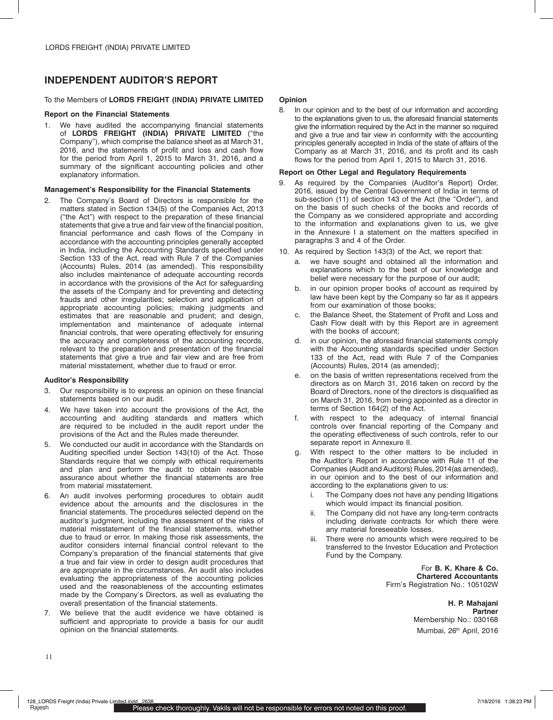# **INDEPENDENT AUDITOR'S REPORT**

# To the Members of **LORDS FREIGHT (INDIA) PRIVATE LIMITED**

### **Report on the Financial Statements**

1. We have audited the accompanying financial statements of **LORDS FREIGHT (INDIA) PRIVATE LIMITED** ("the Company"), which comprise the balance sheet as at March 31, 2016, and the statements of profit and loss and cash flow for the period from April 1, 2015 to March 31, 2016, and a summary of the significant accounting policies and other explanatory information.

### **Management's Responsibility for the Financial Statements**

2. The Company's Board of Directors is responsible for the matters stated in Section 134(5) of the Companies Act, 2013 ("the Act") with respect to the preparation of these financial statements that give a true and fair view of the financial position, financial performance and cash flows of the Company in accordance with the accounting principles generally accepted in India, including the Accounting Standards specified under Section 133 of the Act, read with Rule 7 of the Companies (Accounts) Rules, 2014 (as amended). This responsibility also includes maintenance of adequate accounting records in accordance with the provisions of the Act for safeguarding the assets of the Company and for preventing and detecting frauds and other irregularities; selection and application of appropriate accounting policies; making judgments and estimates that are reasonable and prudent; and design, implementation and maintenance of adequate internal financial controls, that were operating effectively for ensuring the accuracy and completeness of the accounting records, relevant to the preparation and presentation of the financial statements that give a true and fair view and are free from material misstatement, whether due to fraud or error.

# **Auditor's Responsibility**

- 3. Our responsibility is to express an opinion on these financial statements based on our audit.
- We have taken into account the provisions of the Act, the accounting and auditing standards and matters which are required to be included in the audit report under the provisions of the Act and the Rules made thereunder.
- 5. We conducted our audit in accordance with the Standards on Auditing specified under Section 143(10) of the Act. Those Standards require that we comply with ethical requirements and plan and perform the audit to obtain reasonable assurance about whether the financial statements are free from material misstatement.
- 6. An audit involves performing procedures to obtain audit evidence about the amounts and the disclosures in the financial statements. The procedures selected depend on the auditor's judgment, including the assessment of the risks of material misstatement of the financial statements, whether due to fraud or error. In making those risk assessments, the auditor considers internal financial control relevant to the Company's preparation of the financial statements that give a true and fair view in order to design audit procedures that are appropriate in the circumstances. An audit also includes evaluating the appropriateness of the accounting policies used and the reasonableness of the accounting estimates made by the Company's Directors, as well as evaluating the overall presentation of the financial statements.
- 7. We believe that the audit evidence we have obtained is sufficient and appropriate to provide a basis for our audit opinion on the financial statements.

### **Opinion**

8. In our opinion and to the best of our information and according to the explanations given to us, the aforesaid financial statements give the information required by the Act in the manner so required and give a true and fair view in conformity with the accounting principles generally accepted in India of the state of affairs of the Company as at March 31, 2016, and its profit and its cash flows for the period from April 1, 2015 to March 31, 2016.

# **Report on Other Legal and Regulatory Requirements**

- As required by the Companies (Auditor's Report) Order, 2016, issued by the Central Government of India in terms of sub-section (11) of section 143 of the Act (the "Order"), and on the basis of such checks of the books and records of the Company as we considered appropriate and according to the information and explanations given to us, we give in the Annexure I a statement on the matters specified in paragraphs 3 and 4 of the Order.
- 10. As required by Section 143(3) of the Act, we report that:
	- we have sought and obtained all the information and explanations which to the best of our knowledge and belief were necessary for the purpose of our audit;
	- b. in our opinion proper books of account as required by law have been kept by the Company so far as it appears from our examination of those books;
	- c. the Balance Sheet, the Statement of Profit and Loss and Cash Flow dealt with by this Report are in agreement with the books of account;
	- d. in our opinion, the aforesaid financial statements comply with the Accounting standards specified under Section 133 of the Act, read with Rule 7 of the Companies (Accounts) Rules, 2014 (as amended);
	- e. on the basis of written representations received from the directors as on March 31, 2016 taken on record by the Board of Directors, none of the directors is disqualified as on March 31, 2016, from being appointed as a director in terms of Section 164(2) of the Act.
	- f. with respect to the adequacy of internal financial controls over financial reporting of the Company and the operating effectiveness of such controls, refer to our separate report in Annexure II.
	- g. With respect to the other matters to be included in the Auditor's Report in accordance with Rule 11 of the Companies (Audit and Auditors) Rules, 2014(as amended), in our opinion and to the best of our information and according to the explanations given to us:
		- i. The Company does not have any pending litigations which would impact its financial position.
		- ii. The Company did not have any long-term contracts including derivate contracts for which there were any material foreseeable losses.
		- iii. There were no amounts which were required to be transferred to the Investor Education and Protection Fund by the Company.

For **B. K. Khare & Co. Chartered Accountants** Firm's Registration No.: 105102W

> **H. P. Mahajani Partner**  Membership No.: 030168 Mumbai, 26<sup>th</sup> April, 2016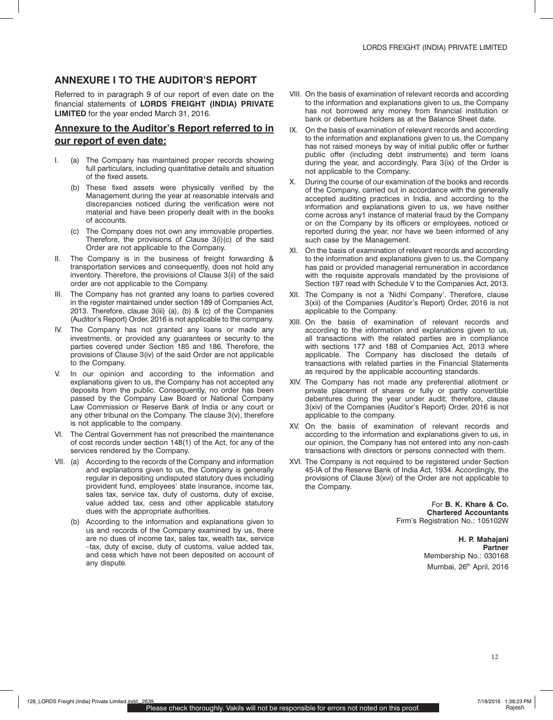# **ANNEXURE I TO THE AUDITOR'S REPORT**

Referred to in paragraph 9 of our report of even date on the financial statements of **LORDS FREIGHT (INDIA) PRIVATE LIMITED** for the year ended March 31, 2016.

# **Annexure to the Auditor's Report referred to in our report of even date:**

- I. (a) The Company has maintained proper records showing full particulars, including quantitative details and situation of the fixed assets.
	- (b) These fixed assets were physically verified by the Management during the year at reasonable intervals and discrepancies noticed during the verification were not material and have been properly dealt with in the books of accounts.
	- (c) The Company does not own any immovable properties. Therefore, the provisions of Clause 3(i)(c) of the said Order are not applicable to the Company.
- II. The Company is in the business of freight forwarding & transportation services and consequently, does not hold any inventory. Therefore, the provisions of Clause 3(ii) of the said order are not applicable to the Company.
- III. The Company has not granted any loans to parties covered in the register maintained under section 189 of Companies Act, 2013. Therefore, clause 3(iii) (a), (b) & (c) of the Companies (Auditor's Report) Order, 2016 is not applicable to the company.
- IV. The Company has not granted any loans or made any investments, or provided any guarantees or security to the parties covered under Section 185 and 186. Therefore, the provisions of Clause 3(iv) of the said Order are not applicable to the Company.
- V. In our opinion and according to the information and explanations given to us, the Company has not accepted any deposits from the public. Consequently, no order has been passed by the Company Law Board or National Company Law Commission or Reserve Bank of India or any court or any other tribunal on the Company. The clause 3(v), therefore is not applicable to the company.
- VI. The Central Government has not prescribed the maintenance of cost records under section 148(1) of the Act, for any of the services rendered by the Company.
- VII. (a) According to the records of the Company and information and explanations given to us, the Company is generally regular in depositing undisputed statutory dues including provident fund, employees' state insurance, income tax, sales tax, service tax, duty of customs, duty of excise, value added tax, cess and other applicable statutory dues with the appropriate authorities.
	- (b) According to the information and explanations given to us and records of the Company examined by us, there are no dues of income tax, sales tax, wealth tax, service –tax, duty of excise, duty of customs, value added tax, and cess which have not been deposited on account of any dispute.
- VIII. On the basis of examination of relevant records and according to the information and explanations given to us, the Company has not borrowed any money from financial institution or bank or debenture holders as at the Balance Sheet date.
- IX. On the basis of examination of relevant records and according to the information and explanations given to us, the Company has not raised moneys by way of initial public offer or further public offer (including debt instruments) and term loans during the year, and accordingly, Para 3(ix) of the Order is not applicable to the Company.
- X. During the course of our examination of the books and records of the Company, carried out in accordance with the generally accepted auditing practices in India, and according to the information and explanations given to us, we have neither come across any1 instance of material fraud by the Company or on the Company by its officers or employees, noticed or reported during the year, nor have we been informed of any such case by the Management.
- XI. On the basis of examination of relevant records and according to the information and explanations given to us, the Company has paid or provided managerial remuneration in accordance with the requisite approvals mandated by the provisions of Section 197 read with Schedule V to the Companies Act, 2013.
- XII. The Company is not a 'Nidhi Company'. Therefore, clause 3(xii) of the Companies (Auditor's Report) Order, 2016 is not applicable to the Company.
- XIII. On the basis of examination of relevant records and according to the information and explanations given to us, all transactions with the related parties are in compliance with sections 177 and 188 of Companies Act, 2013 where applicable. The Company has disclosed the details of transactions with related parties in the Financial Statements as required by the applicable accounting standards.
- XIV. The Company has not made any preferential allotment or private placement of shares or fully or partly convertible debentures during the year under audit; therefore, clause 3(xiv) of the Companies (Auditor's Report) Order, 2016 is not applicable to the company.
- XV. On the basis of examination of relevant records and according to the information and explanations given to us, in our opinion, the Company has not entered into any non-cash transactions with directors or persons connected with them.
- XVI. The Company is not required to be registered under Section 45-IA of the Reserve Bank of India Act, 1934. Accordingly, the provisions of Clause 3(xvi) of the Order are not applicable to the Company.

For **B. K. Khare & Co. Chartered Accountants** Firm's Registration No.: 105102W

> **H. P. Mahajani Partner**  Membership No.: 030168 Mumbai, 26<sup>th</sup> April, 2016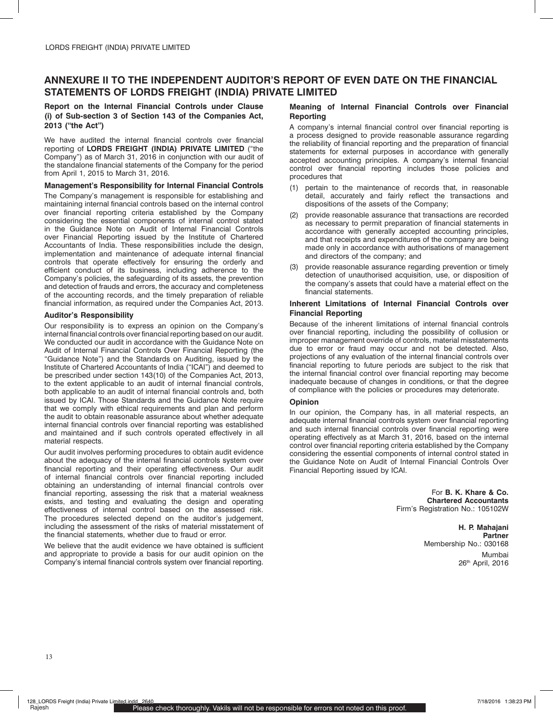# **ANNEXURE II TO THE INDEPENDENT AUDITOR'S REPORT OF EVEN DATE ON THE FINANCIAL STATEMENTS OF LORDS FREIGHT (INDIA) PRIVATE LIMITED**

### **Report on the Internal Financial Controls under Clause (i) of Sub-section 3 of Section 143 of the Companies Act, 2013 ("the Act")**

We have audited the internal financial controls over financial reporting of **LORDS FREIGHT (INDIA) PRIVATE LIMITED** ("the Company") as of March 31, 2016 in conjunction with our audit of the standalone financial statements of the Company for the period from April 1, 2015 to March 31, 2016.

#### **Management's Responsibility for Internal Financial Controls**

The Company's management is responsible for establishing and maintaining internal financial controls based on the internal control over financial reporting criteria established by the Company considering the essential components of internal control stated in the Guidance Note on Audit of Internal Financial Controls over Financial Reporting issued by the Institute of Chartered Accountants of India. These responsibilities include the design, implementation and maintenance of adequate internal financial controls that operate effectively for ensuring the orderly and efficient conduct of its business, including adherence to the Company's policies, the safeguarding of its assets, the prevention and detection of frauds and errors, the accuracy and completeness of the accounting records, and the timely preparation of reliable financial information, as required under the Companies Act, 2013.

#### **Auditor's Responsibility**

Our responsibility is to express an opinion on the Company's internal financial controls over financial reporting based on our audit. We conducted our audit in accordance with the Guidance Note on Audit of Internal Financial Controls Over Financial Reporting (the "Guidance Note") and the Standards on Auditing, issued by the Institute of Chartered Accountants of India ("ICAI") and deemed to be prescribed under section 143(10) of the Companies Act, 2013, to the extent applicable to an audit of internal financial controls, both applicable to an audit of internal financial controls and, both issued by ICAI. Those Standards and the Guidance Note require that we comply with ethical requirements and plan and perform the audit to obtain reasonable assurance about whether adequate internal financial controls over financial reporting was established and maintained and if such controls operated effectively in all material respects.

Our audit involves performing procedures to obtain audit evidence about the adequacy of the internal financial controls system over financial reporting and their operating effectiveness. Our audit of internal financial controls over financial reporting included obtaining an understanding of internal financial controls over financial reporting, assessing the risk that a material weakness exists, and testing and evaluating the design and operating effectiveness of internal control based on the assessed risk. The procedures selected depend on the auditor's judgement, including the assessment of the risks of material misstatement of the financial statements, whether due to fraud or error.

We believe that the audit evidence we have obtained is sufficient and appropriate to provide a basis for our audit opinion on the Company's internal financial controls system over financial reporting.

### **Meaning of Internal Financial Controls over Financial Reporting**

A company's internal financial control over financial reporting is a process designed to provide reasonable assurance regarding the reliability of financial reporting and the preparation of financial statements for external purposes in accordance with generally accepted accounting principles. A company's internal financial control over financial reporting includes those policies and procedures that

- (1) pertain to the maintenance of records that, in reasonable detail, accurately and fairly reflect the transactions and dispositions of the assets of the Company;
- (2) provide reasonable assurance that transactions are recorded as necessary to permit preparation of financial statements in accordance with generally accepted accounting principles, and that receipts and expenditures of the company are being made only in accordance with authorisations of management and directors of the company; and
- (3) provide reasonable assurance regarding prevention or timely detection of unauthorised acquisition, use, or disposition of the company's assets that could have a material effect on the financial statements.

#### **Inherent Limitations of Internal Financial Controls over Financial Reporting**

Because of the inherent limitations of internal financial controls over financial reporting, including the possibility of collusion or improper management override of controls, material misstatements due to error or fraud may occur and not be detected. Also, projections of any evaluation of the internal financial controls over financial reporting to future periods are subject to the risk that the internal financial control over financial reporting may become inadequate because of changes in conditions, or that the degree of compliance with the policies or procedures may deteriorate.

### **Opinion**

In our opinion, the Company has, in all material respects, an adequate internal financial controls system over financial reporting and such internal financial controls over financial reporting were operating effectively as at March 31, 2016, based on the internal control over financial reporting criteria established by the Company considering the essential components of internal control stated in the Guidance Note on Audit of Internal Financial Controls Over Financial Reporting issued by ICAI.

> For **B. K. Khare & Co. Chartered Accountants** Firm's Registration No.: 105102W

> > **H. P. Mahajani Partner**  Membership No.: 030168 Mumbai 26<sup>th</sup> April, 2016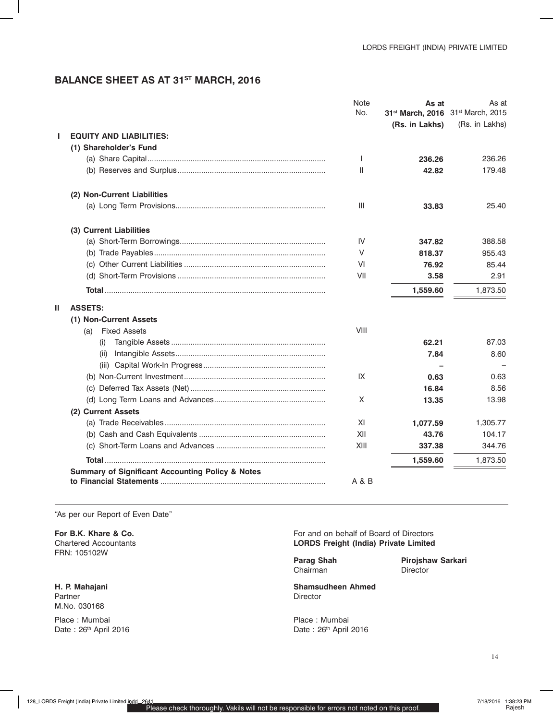# **Balance Sheet as at 31st March, 2016**

|   |                                                             | Note  | As at                             | As at          |
|---|-------------------------------------------------------------|-------|-----------------------------------|----------------|
|   |                                                             | No.   | 31st March, 2016 31st March, 2015 |                |
|   |                                                             |       | (Rs. in Lakhs)                    | (Rs. in Lakhs) |
| ı | <b>EQUITY AND LIABILITIES:</b>                              |       |                                   |                |
|   | (1) Shareholder's Fund                                      |       |                                   |                |
|   |                                                             | H     | 236.26                            | 236.26         |
|   |                                                             | Ш     | 42.82                             | 179.48         |
|   | (2) Non-Current Liabilities                                 |       |                                   |                |
|   |                                                             | Ш     | 33.83                             | 25.40          |
|   | (3) Current Liabilities                                     |       |                                   |                |
|   |                                                             | IV    | 347.82                            | 388.58         |
|   |                                                             | V     | 818.37                            | 955.43         |
|   |                                                             | VI    | 76.92                             | 85.44          |
|   |                                                             | VII   | 3.58                              | 2.91           |
|   |                                                             |       | 1,559.60                          | 1,873.50       |
| Ш | <b>ASSETS:</b>                                              |       |                                   |                |
|   | (1) Non-Current Assets                                      |       |                                   |                |
|   | <b>Fixed Assets</b><br>(a)                                  | VIII  |                                   |                |
|   | (1)                                                         |       | 62.21                             | 87.03          |
|   | (II)                                                        |       | 7.84                              | 8.60           |
|   |                                                             |       |                                   |                |
|   |                                                             | IX    | 0.63                              | 0.63           |
|   |                                                             |       | 16.84                             | 8.56           |
|   |                                                             | X     | 13.35                             | 13.98          |
|   | (2) Current Assets                                          |       |                                   |                |
|   |                                                             | XI    | 1,077.59                          | 1,305.77       |
|   |                                                             | XII   | 43.76                             | 104.17         |
|   |                                                             | XIII  | 337.38                            | 344.76         |
|   |                                                             |       | 1,559.60                          | 1,873.50       |
|   | <b>Summary of Significant Accounting Policy &amp; Notes</b> | A & B |                                   |                |

"As per our Report of Even Date"

**For B.K. Khare & Co.** Chartered Accountants FRN: 105102W

**H. P. Mahajani** Partner M.No. 030168

Place : Mumbai Date: 26th April 2016 For and on behalf of Board of Directors **LORDS Freight (India) Private Limited**

**Parag Shah** Chairman

**Pirojshaw Sarkari Director** 

**Shamsudheen Ahmed** Director

Place : Mumbai Date: 26th April 2016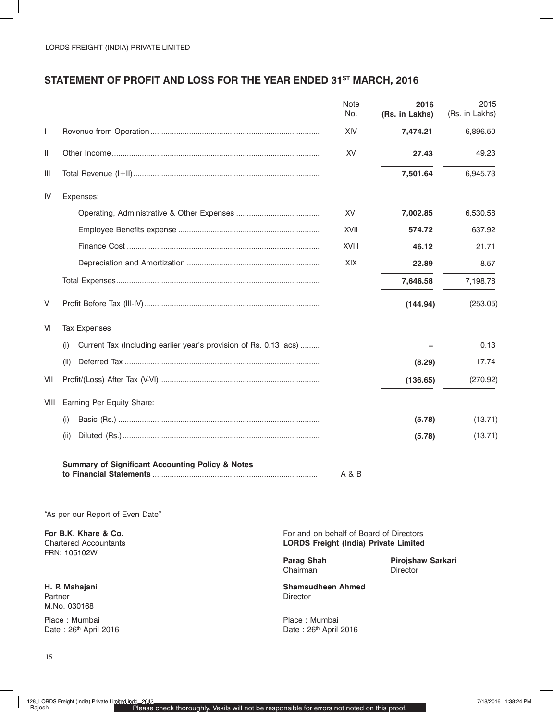# **Statement of Profit and Loss for the Year ended 31st March, 2016**

|              |                                                                          | <b>Note</b><br>No. | 2016<br>(Rs. in Lakhs) | 2015<br>(Rs. in Lakhs) |
|--------------|--------------------------------------------------------------------------|--------------------|------------------------|------------------------|
| $\mathbf{I}$ |                                                                          | XIV                | 7,474.21               | 6,896.50               |
| Ш            |                                                                          | XV                 | 27.43                  | 49.23                  |
| Ш            |                                                                          |                    | 7,501.64               | 6,945.73               |
| IV           | Expenses:                                                                |                    |                        |                        |
|              |                                                                          | XVI                | 7,002.85               | 6,530.58               |
|              |                                                                          | XVII               | 574.72                 | 637.92                 |
|              |                                                                          | <b>XVIII</b>       | 46.12                  | 21.71                  |
|              |                                                                          | XIX                | 22.89                  | 8.57                   |
|              |                                                                          |                    | 7,646.58               | 7,198.78               |
| V            |                                                                          |                    | (144.94)               | (253.05)               |
| VI           | <b>Tax Expenses</b>                                                      |                    |                        |                        |
|              | Current Tax (Including earlier year's provision of Rs. 0.13 lacs)<br>(i) |                    |                        | 0.13                   |
|              | (ii)                                                                     |                    | (8.29)                 | 17.74                  |
| VII          |                                                                          |                    | (136.65)               | (270.92)               |
| VIII         | Earning Per Equity Share:                                                |                    |                        |                        |
|              | (i)                                                                      |                    | (5.78)                 | (13.71)                |
|              | (ii)                                                                     |                    | (5.78)                 | (13.71)                |
|              | <b>Summary of Significant Accounting Policy &amp; Notes</b>              | A & B              |                        |                        |

"As per our Report of Even Date"

**For B.K. Khare & Co.** Chartered Accountants FRN: 105102W

**H. P. Mahajani** Partner M.No. 030168 Place : Mumbai Date: 26th April 2016 For and on behalf of Board of Directors **LORDS Freight (India) Private Limited**

**Parag Shah** Chairman

**Pirojshaw Sarkari**  Director

**Shamsudheen Ahmed** Director

Place : Mumbai Date: 26<sup>th</sup> April 2016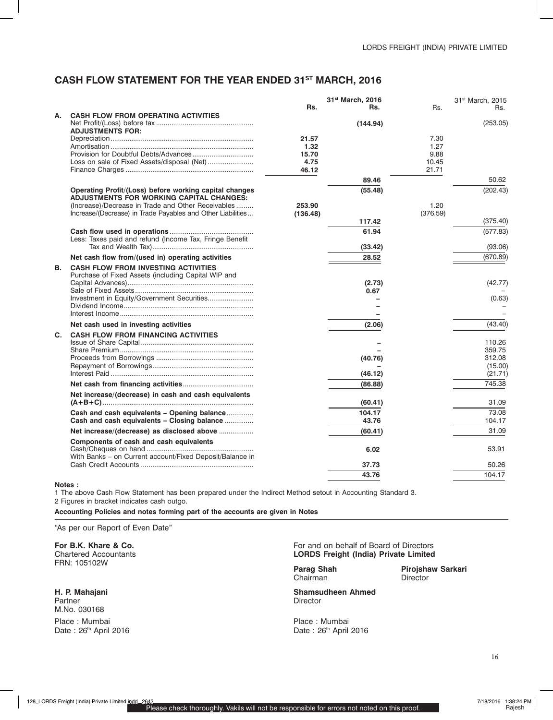# **Cash flow Statement for the year ended 31st March, 2016**

|                |                                                                                                |                    | 31st March, 2016 |               | 31 <sup>st</sup> March, 2015 |
|----------------|------------------------------------------------------------------------------------------------|--------------------|------------------|---------------|------------------------------|
|                |                                                                                                | Rs.                | Rs.              | Rs.           | Rs.                          |
| А.             | <b>CASH FLOW FROM OPERATING ACTIVITIES</b>                                                     |                    |                  |               |                              |
|                |                                                                                                |                    | (144.94)         |               | (253.05)                     |
|                | <b>ADJUSTMENTS FOR:</b>                                                                        |                    |                  |               |                              |
|                |                                                                                                | 21.57              |                  | 7.30          |                              |
|                |                                                                                                | 1.32               |                  | 1.27          |                              |
|                | Loss on sale of Fixed Assets/disposal (Net)                                                    | 15.70<br>4.75      |                  | 9.88<br>10.45 |                              |
|                |                                                                                                | 46.12              |                  | 21.71         |                              |
|                |                                                                                                |                    | 89.46            |               | 50.62                        |
|                |                                                                                                |                    |                  |               |                              |
|                | Operating Profit/(Loss) before working capital changes                                         |                    | (55.48)          |               | (202.43)                     |
|                | ADJUSTMENTS FOR WORKING CAPITAL CHANGES:<br>(Increase)/Decrease in Trade and Other Receivables |                    |                  | 1.20          |                              |
|                | Increase/(Decrease) in Trade Payables and Other Liabilities                                    | 253.90<br>(136.48) |                  | (376.59)      |                              |
|                |                                                                                                |                    | 117.42           |               | (375.40)                     |
|                |                                                                                                |                    |                  |               |                              |
|                | Less: Taxes paid and refund (Income Tax, Fringe Benefit                                        |                    | 61.94            |               | (577.83)                     |
|                |                                                                                                |                    | (33.42)          |               | (93.06)                      |
|                |                                                                                                |                    |                  |               |                              |
|                | Net cash flow from/(used in) operating activities                                              |                    | 28.52            |               | (670.89)                     |
| В.             | <b>CASH FLOW FROM INVESTING ACTIVITIES</b>                                                     |                    |                  |               |                              |
|                | Purchase of Fixed Assets (including Capital WIP and                                            |                    |                  |               |                              |
|                |                                                                                                |                    | (2.73)           |               | (42.77)                      |
|                | Investment in Equity/Government Securities                                                     |                    | 0.67             |               | (0.63)                       |
|                |                                                                                                |                    |                  |               |                              |
|                |                                                                                                |                    |                  |               |                              |
|                | Net cash used in investing activities                                                          |                    | (2.06)           |               | (43.40)                      |
| $\mathbf{C}$ . | <b>CASH FLOW FROM FINANCING ACTIVITIES</b>                                                     |                    |                  |               |                              |
|                |                                                                                                |                    |                  |               | 110.26                       |
|                |                                                                                                |                    |                  |               | 359.75                       |
|                |                                                                                                |                    | (40.76)          |               | 312.08                       |
|                |                                                                                                |                    |                  |               | (15.00)                      |
|                |                                                                                                |                    | (46.12)          |               | (21.71)                      |
|                |                                                                                                |                    | (86.88)          |               | 745.38                       |
|                | Net increase/(decrease) in cash and cash equivalents                                           |                    |                  |               |                              |
|                |                                                                                                |                    | (60.41)          |               | 31.09                        |
|                | Cash and cash equivalents - Opening balance                                                    |                    | 104.17           |               | 73.08                        |
|                | Cash and cash equivalents - Closing balance                                                    |                    | 43.76            |               | 104.17                       |
|                |                                                                                                |                    | (60.41)          |               | 31.09                        |
|                | Components of cash and cash equivalents                                                        |                    |                  |               |                              |
|                |                                                                                                |                    | 6.02             |               | 53.91                        |
|                | With Banks – on Current account/Fixed Deposit/Balance in                                       |                    |                  |               |                              |
|                |                                                                                                |                    | 37.73            |               | 50.26                        |
|                |                                                                                                |                    | 43.76            |               | 104.17                       |
|                |                                                                                                |                    |                  |               |                              |

#### **Notes :**

1 The above Cash Flow Statement has been prepared under the Indirect Method setout in Accounting Standard 3. 2 Figures in bracket indicates cash outgo.

**Accounting Policies and notes forming part of the accounts are given in Notes**

#### "As per our Report of Even Date"

**For B.K. Khare & Co.** Chartered Accountants FRN: 105102W

**H. P. Mahajani** Partner M.No. 030168 Place : Mumbai Date: 26th April 2016

### For and on behalf of Board of Directors **LORDS Freight (India) Private Limited**

**Parag Shah** Chairman

**Pirojshaw Sarkari Director** 

**Shamsudheen Ahmed** Director

Place : Mumbai Date: 26<sup>th</sup> April 2016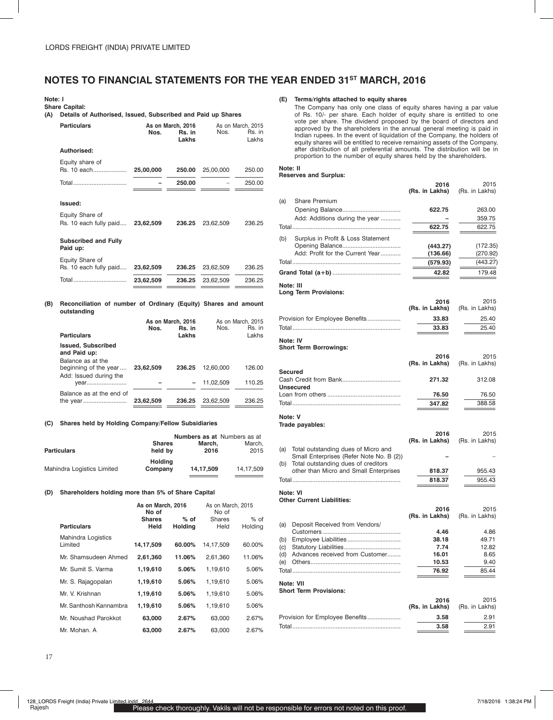# **NOTES TO FINANCIAL STATEMENTS FOR THE YEAR ENDED 31st MARCH, 2016**

#### **Note: I**

**Share Capital:**

**(A) Details of Authorised, Issued, Subscribed and Paid up Shares**

| w   | Details of Authorised, issued, Jubscribed and Faid up Jilares                  |           |                                      |           |                                      |
|-----|--------------------------------------------------------------------------------|-----------|--------------------------------------|-----------|--------------------------------------|
|     | <b>Particulars</b>                                                             | Nos.      | As on March, 2016<br>Rs. in<br>Lakhs | Nos.      | As on March, 2015<br>Rs. in<br>Lakhs |
|     | Authorised:                                                                    |           |                                      |           |                                      |
|     | Equity share of<br>Rs. 10 each                                                 | 25,00,000 | 250.00                               | 25,00,000 | 250.00                               |
|     | Total                                                                          |           | 250.00                               |           | 250.00                               |
|     | Issued:                                                                        |           |                                      |           |                                      |
|     | Equity Share of<br>Rs. 10 each fully paid 23,62,509                            |           | 236.25                               | 23.62.509 | 236.25                               |
|     | <b>Subscribed and Fully</b><br>Paid up:                                        |           |                                      |           |                                      |
|     | Equity Share of<br>Rs. 10 each fully paid 23,62,509 236.25 23,62,509           |           |                                      |           | 236.25                               |
|     |                                                                                |           |                                      |           | 236.25                               |
| (B) | Reconciliation of number of Ordinary (Equity) Shares and amount<br>outstanding |           |                                      |           |                                      |
|     | <b>Particulars</b>                                                             | Nos.      | As on March, 2016<br>Rs. in<br>Lakhs | Nos.      | As on March, 2015<br>Rs. in<br>Lakhs |

| .                                                                    |           | ------ |              |        |
|----------------------------------------------------------------------|-----------|--------|--------------|--------|
| <b>Issued, Subscribed</b><br>and Paid up:                            |           |        |              |        |
| Balance as at the<br>beginning of the year<br>Add: Issued during the | 23.62.509 | 236.25 | 12.60.000    | 126.00 |
| vear                                                                 |           |        | $-11.02.509$ | 110.25 |
| Balance as at the end of                                             | 23,62,509 | 236.25 | 23.62.509    | 236.25 |

#### **(C) Shares held by Holding Company/Fellow Subsidiaries**

|                            |                           |           | <b>Numbers as at Numbers as at</b> |
|----------------------------|---------------------------|-----------|------------------------------------|
|                            | <b>Shares</b>             | March.    | March.                             |
| <b>Particulars</b>         | held by                   | 2016      | 2015                               |
| Mahindra Logistics Limited | <b>Holding</b><br>Company | 14.17.509 | 14.17.509                          |

#### **(D) Shareholders holding more than 5% of Share Capital**

| As on March, 2016<br>No of           |                       |                          | As on March, 2015<br>No of |                 |  |
|--------------------------------------|-----------------------|--------------------------|----------------------------|-----------------|--|
| <b>Particulars</b>                   | <b>Shares</b><br>Held | $%$ of<br><b>Holding</b> | Shares<br>Held             | % of<br>Holding |  |
| <b>Mahindra Logistics</b><br>Limited | 14,17,509             | 60.00%                   | 14,17,509                  | 60.00%          |  |
| Mr. Shamsudeen Ahmed                 | 2,61,360              | 11.06%                   | 2,61,360                   | 11.06%          |  |
| Mr. Sumit S. Varma                   | 1,19,610              | 5.06%                    | 1,19,610                   | 5.06%           |  |
| Mr. S. Rajagopalan                   | 1,19,610              | 5.06%                    | 1,19,610                   | 5.06%           |  |
| Mr. V. Krishnan                      | 1,19,610              | 5.06%                    | 1,19,610                   | 5.06%           |  |
| Mr. Santhosh Kannambra               | 1,19,610              | 5.06%                    | 1.19.610                   | 5.06%           |  |
| Mr. Noushad Parokkot                 | 63,000                | 2.67%                    | 63.000                     | 2.67%           |  |
| Mr. Mohan. A                         | 63.000                | 2.67%                    | 63.000                     | 2.67%           |  |

#### **(E) Terms/rights attached to equity shares**

The Company has only one class of equity shares having a par value of Rs. 10/- per share. Each holder of equity share is entitled to one vote per share. The dividend proposed by the board of directors and approved by the shareholders in the annual general meeting is paid in Indian rupees. In the event of liquidation of the Company, the holders of equity shares will be entitled to receive remaining assets of the Company, after distribution of all preferential amounts. The distribution will be in proportion to the number of equity shares held by the shareholders.

#### **Note: II**

### **Reserves and Surplus:**

|     |                                                                               | 2016<br>(Rs. in Lakhs) | 2015<br>(Rs. in Lakhs) |
|-----|-------------------------------------------------------------------------------|------------------------|------------------------|
| (a) | <b>Share Premium</b>                                                          |                        |                        |
|     |                                                                               | 622.75                 | 263.00                 |
|     | Add: Additions during the year                                                |                        | 359.75                 |
|     |                                                                               | 622.75                 | 622.75                 |
| (b) | Surplus in Profit & Loss Statement                                            |                        |                        |
|     | Add: Profit for the Current Year                                              | (443.27)<br>(136.66)   | (172.35)<br>(270.92)   |
|     |                                                                               | (579.93)               | (443.27)               |
|     |                                                                               | 42.82                  | 179.48                 |
|     |                                                                               |                        |                        |
|     | Note: III<br>Long Term Provisions:                                            |                        |                        |
|     |                                                                               | 2016                   | 2015                   |
|     |                                                                               | (Rs. in Lakhs)         | (Rs. in Lakhs)         |
|     | Provision for Employee Benefits                                               | 33.83                  | 25.40                  |
|     |                                                                               | 33.83                  | 25.40                  |
|     | Note: IV                                                                      |                        |                        |
|     | <b>Short Term Borrowings:</b>                                                 | 2016                   | 2015                   |
|     |                                                                               | (Rs. in Lakhs)         | (Rs. in Lakhs)         |
|     | Secured                                                                       |                        |                        |
|     | <b>Unsecured</b>                                                              | 271.32                 | 312.08                 |
|     |                                                                               | 76.50                  | 76.50                  |
|     |                                                                               | 347.82                 | 388.58                 |
|     |                                                                               |                        |                        |
|     | Note: V<br>Trade payables:                                                    |                        |                        |
|     |                                                                               | 2016                   | 2015                   |
|     |                                                                               | (Rs. in Lakhs)         | (Rs. in Lakhs)         |
| (a) | Total outstanding dues of Micro and                                           |                        |                        |
|     | Small Enterprises (Refer Note No. B (2))                                      |                        |                        |
| (b) | Total outstanding dues of creditors<br>other than Micro and Small Enterprises | 818.37                 | 955.43                 |
|     |                                                                               | 818.37                 | 955.43                 |
|     |                                                                               |                        |                        |
|     | Note: VI<br><b>Other Current Liabilities:</b>                                 |                        |                        |
|     |                                                                               | 2016                   | 2015                   |
|     |                                                                               | (Rs. in Lakhs)         | (Rs. in Lakhs)         |
| (a) | Deposit Received from Vendors/                                                |                        |                        |
| (b) |                                                                               | 4.46<br>38.18          | 4.86<br>49.71          |
| (c) | Employee Liabilities                                                          | 7.74                   | 12.82                  |
| (d) | Advances received from Customer                                               | 16.01                  | 8.65                   |
| (e) |                                                                               | 10.53                  | 9.40                   |
|     |                                                                               | 76.92                  | 85.44                  |
|     | Note: VII                                                                     |                        |                        |
|     | <b>Short Term Provisions:</b>                                                 |                        |                        |
|     |                                                                               | 2016                   | 2015                   |
|     |                                                                               | (Rs. in Lakhs)         | (Rs. in Lakhs)         |
|     | Provision for Employee Benefits                                               | 3.58                   | 2.91                   |
|     |                                                                               | 3.58                   | 2.91                   |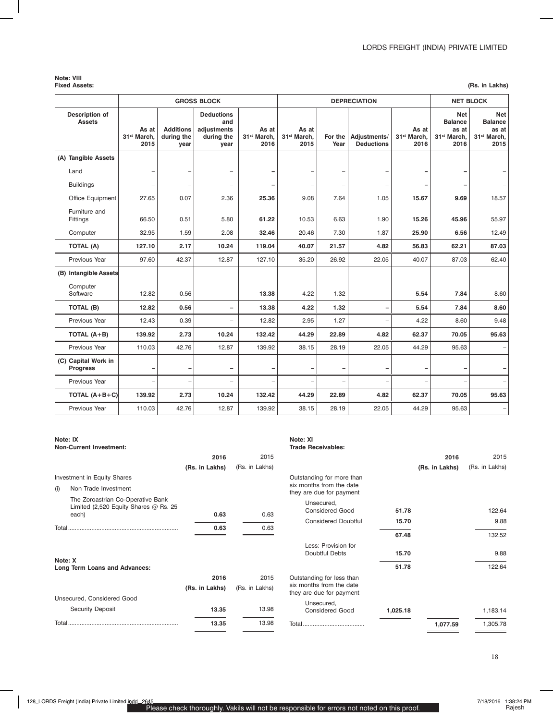# **Note: VIII**

| <b>Fixed Assets:</b> | (Rs. in Lakhs) |
|----------------------|----------------|
|----------------------|----------------|

|                                        |                                          |                                        | <b>GROSS BLOCK</b>                                            |                                          |                                          |                 | <b>DEPRECIATION</b>               |                                          | <b>NET BLOCK</b>                                                         |                                                                   |
|----------------------------------------|------------------------------------------|----------------------------------------|---------------------------------------------------------------|------------------------------------------|------------------------------------------|-----------------|-----------------------------------|------------------------------------------|--------------------------------------------------------------------------|-------------------------------------------------------------------|
| <b>Description of</b><br><b>Assets</b> | As at<br>31 <sup>st</sup> March,<br>2015 | <b>Additions</b><br>during the<br>year | <b>Deductions</b><br>and<br>adjustments<br>during the<br>year | As at<br>31 <sup>st</sup> March,<br>2016 | As at<br>31 <sup>st</sup> March,<br>2015 | For the<br>Year | Adjustments/<br><b>Deductions</b> | As at<br>31 <sup>st</sup> March,<br>2016 | <b>Net</b><br><b>Balance</b><br>as at<br>31 <sup>st</sup> March,<br>2016 | Net<br><b>Balance</b><br>as at<br>31 <sup>st</sup> March,<br>2015 |
| (A) Tangible Assets                    |                                          |                                        |                                                               |                                          |                                          |                 |                                   |                                          |                                                                          |                                                                   |
| Land                                   |                                          |                                        |                                                               |                                          |                                          |                 |                                   |                                          |                                                                          |                                                                   |
| <b>Buildings</b>                       | -                                        | $\overline{\phantom{0}}$               | $\overline{\phantom{0}}$                                      |                                          | -                                        |                 |                                   |                                          |                                                                          |                                                                   |
| Office Equipment                       | 27.65                                    | 0.07                                   | 2.36                                                          | 25.36                                    | 9.08                                     | 7.64            | 1.05                              | 15.67                                    | 9.69                                                                     | 18.57                                                             |
| Furniture and<br>Fittings              | 66.50                                    | 0.51                                   | 5.80                                                          | 61.22                                    | 10.53                                    | 6.63            | 1.90                              | 15.26                                    | 45.96                                                                    | 55.97                                                             |
| Computer                               | 32.95                                    | 1.59                                   | 2.08                                                          | 32.46                                    | 20.46                                    | 7.30            | 1.87                              | 25.90                                    | 6.56                                                                     | 12.49                                                             |
| <b>TOTAL (A)</b>                       | 127.10                                   | 2.17                                   | 10.24                                                         | 119.04                                   | 40.07                                    | 21.57           | 4.82                              | 56.83                                    | 62.21                                                                    | 87.03                                                             |
| Previous Year                          | 97.60                                    | 42.37                                  | 12.87                                                         | 127.10                                   | 35.20                                    | 26.92           | 22.05                             | 40.07                                    | 87.03                                                                    | 62.40                                                             |
| (B) Intangible Assets                  |                                          |                                        |                                                               |                                          |                                          |                 |                                   |                                          |                                                                          |                                                                   |
| Computer<br>Software                   | 12.82                                    | 0.56                                   | $\overline{\phantom{0}}$                                      | 13.38                                    | 4.22                                     | 1.32            |                                   | 5.54                                     | 7.84                                                                     | 8.60                                                              |
| TOTAL (B)                              | 12.82                                    | 0.56                                   | $\overline{\phantom{a}}$                                      | 13.38                                    | 4.22                                     | 1.32            |                                   | 5.54                                     | 7.84                                                                     | 8.60                                                              |
| Previous Year                          | 12.43                                    | 0.39                                   | ÷                                                             | 12.82                                    | 2.95                                     | 1.27            |                                   | 4.22                                     | 8.60                                                                     | 9.48                                                              |
| TOTAL $(A+B)$                          | 139.92                                   | 2.73                                   | 10.24                                                         | 132.42                                   | 44.29                                    | 22.89           | 4.82                              | 62.37                                    | 70.05                                                                    | 95.63                                                             |
| Previous Year                          | 110.03                                   | 42.76                                  | 12.87                                                         | 139.92                                   | 38.15                                    | 28.19           | 22.05                             | 44.29                                    | 95.63                                                                    |                                                                   |
| (C) Capital Work in<br><b>Progress</b> | -                                        | -                                      | -                                                             |                                          | -                                        |                 |                                   |                                          |                                                                          |                                                                   |
| Previous Year                          |                                          | $\overline{\phantom{a}}$               | ÷                                                             |                                          | $\overline{\phantom{0}}$                 |                 |                                   |                                          |                                                                          |                                                                   |
| TOTAL $(A+B+C)$                        | 139.92                                   | 2.73                                   | 10.24                                                         | 132.42                                   | 44.29                                    | 22.89           | 4.82                              | 62.37                                    | 70.05                                                                    | 95.63                                                             |
| Previous Year                          | 110.03                                   | 42.76                                  | 12.87                                                         | 139.92                                   | 38.15                                    | 28.19           | 22.05                             | 44.29                                    | 95.63                                                                    |                                                                   |

|     | Note: IX<br><b>Non-Current Investment:</b>                                     |                |                |
|-----|--------------------------------------------------------------------------------|----------------|----------------|
|     |                                                                                | 2016           | 2015           |
|     |                                                                                | (Rs. in Lakhs) | (Rs. in Lakhs) |
|     | Investment in Equity Shares                                                    |                |                |
| (i) | Non Trade Investment                                                           |                |                |
|     | The Zoroastrian Co-Operative Bank<br>Limited $(2,520$ Equity Shares $@$ Rs. 25 |                |                |
|     | each)                                                                          | 0.63           | 0.63           |
|     |                                                                                | 0.63           | 0.63           |
|     |                                                                                |                |                |
|     | Note: X<br>Long Term Loans and Advances:                                       |                |                |
|     |                                                                                | 2016           | 2015           |
|     |                                                                                |                | (Rs. in Lakhs) |
|     | Unsecured, Considered Good                                                     | (Rs. in Lakhs) |                |
|     | <b>Security Deposit</b>                                                        | 13.35          | 13.98          |
|     |                                                                                | 13.35          | 13.98          |

# **Note: XI**

| <b>Trade Receivables:</b> |
|---------------------------|

|                                                                                   |          | 2016           | 2015           |
|-----------------------------------------------------------------------------------|----------|----------------|----------------|
|                                                                                   |          | (Rs. in Lakhs) | (Rs. in Lakhs) |
| Outstanding for more than<br>six months from the date<br>they are due for payment |          |                |                |
| Unsecured,<br><b>Considered Good</b>                                              | 51.78    |                | 122.64         |
| <b>Considered Doubtful</b>                                                        | 15.70    |                | 9.88           |
|                                                                                   | 67.48    |                | 132.52         |
| Less: Provision for<br>Doubtful Debts                                             | 15.70    |                | 9.88           |
|                                                                                   | 51.78    |                | 122.64         |
| Outstanding for less than<br>six months from the date<br>they are due for payment |          |                |                |
| Unsecured,<br><b>Considered Good</b>                                              | 1,025.18 |                | 1,183.14       |
|                                                                                   |          | 1,077.59       | 1,305.78       |
|                                                                                   |          |                |                |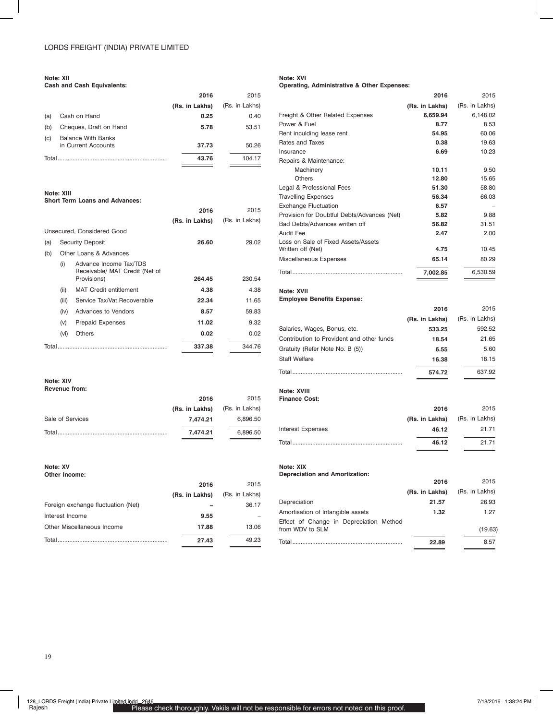#### **Note: XII**

**Cash and Cash Equivalents:**

|       |                                                  | 2016           | 2015           |
|-------|--------------------------------------------------|----------------|----------------|
|       |                                                  | (Rs. in Lakhs) | (Rs. in Lakhs) |
| (a)   | Cash on Hand                                     | 0.25           | 0.40           |
| (b)   | Cheques, Draft on Hand                           | 5.78           | 53.51          |
| (c)   | <b>Balance With Banks</b><br>in Current Accounts | 37.73          | 50.26          |
| Total |                                                  | 43.76          | 104.17         |
|       |                                                  |                |                |

# **Note: XIII**

#### **Short Term Loans and Advances:**

|       |       |                                                                         | 2016           | 2015           |
|-------|-------|-------------------------------------------------------------------------|----------------|----------------|
|       |       |                                                                         | (Rs. in Lakhs) | (Rs. in Lakhs) |
|       |       | Unsecured. Considered Good                                              |                |                |
| (a)   |       | <b>Security Deposit</b>                                                 | 26.60          | 29.02          |
| (b)   |       | Other Loans & Advances                                                  |                |                |
|       | (i)   | Advance Income Tax/TDS<br>Receivable/ MAT Credit (Net of<br>Provisions) | 264.45         | 230.54         |
|       |       |                                                                         |                |                |
|       | (ii)  | <b>MAT Credit entitlement</b>                                           | 4.38           | 4.38           |
|       | (iii) | Service Tax/Vat Recoverable                                             | 22.34          | 11.65          |
|       | (iv)  | Advances to Vendors                                                     | 8.57           | 59.83          |
|       | (v)   | <b>Prepaid Expenses</b>                                                 | 11.02          | 9.32           |
|       | (vi)  | Others                                                                  | 0.02           | 0.02           |
| Total |       |                                                                         | 337.38         | 344.76         |
|       |       |                                                                         |                |                |

#### **Note: XIV**

### **Revenue from:**

|                  | 2016           | 2015           |
|------------------|----------------|----------------|
|                  | (Rs. in Lakhs) | (Rs. in Lakhs) |
| Sale of Services | 7.474.21       | 6.896.50       |
| Total            | 7.474.21       | 6.896.50       |

#### **Note: XV Other Income:**

|                                    | 2016           | 2015           |
|------------------------------------|----------------|----------------|
|                                    | (Rs. in Lakhs) | (Rs. in Lakhs) |
| Foreign exchange fluctuation (Net) |                | 36.17          |
| Interest Income                    | 9.55           |                |
| Other Miscellaneous Income         | 17.88          | 13.06          |
| Total.                             | 27.43          | 49.23          |
|                                    |                |                |

## **Note: XVI**

#### **Operating, Administrative & Other Expenses:**

|                                             | 2016           | 2015           |
|---------------------------------------------|----------------|----------------|
|                                             | (Rs. in Lakhs) | (Rs. in Lakhs) |
| Freight & Other Related Expenses            | 6,659.94       | 6,148.02       |
| Power & Fuel                                | 8.77           | 8.53           |
| Rent inculding lease rent                   | 54.95          | 60.06          |
| Rates and Taxes                             | 0.38           | 19.63          |
| Insurance                                   | 6.69           | 10.23          |
| Repairs & Maintenance:                      |                |                |
| Machinery                                   | 10.11          | 9.50           |
| <b>Others</b>                               | 12.80          | 15.65          |
| Legal & Professional Fees                   | 51.30          | 58.80          |
| <b>Travelling Expenses</b>                  | 56.34          | 66.03          |
| <b>Exchange Fluctuation</b>                 | 6.57           |                |
| Provision for Doubtful Debts/Advances (Net) | 5.82           | 9.88           |
| Bad Debts/Advances written off              | 56.82          | 31.51          |
| <b>Audit Fee</b>                            | 2.47           | 2.00           |
| Loss on Sale of Fixed Assets/Assets         |                |                |
| Written off (Net)                           | 4.75           | 10.45          |
| Miscellaneous Expenses                      | 65.14          | 80.29          |
|                                             | 7,002.85       | 6,530.59       |

## **Note: XVII**

### **Employee Benefits Expense:**

|                                           | -              | $\sim$         |
|-------------------------------------------|----------------|----------------|
|                                           | (Rs. in Lakhs) | (Rs. in Lakhs) |
| Salaries, Wages, Bonus, etc.              | 533.25         | 592.52         |
| Contribution to Provident and other funds | 18.54          | 21.65          |
| Gratuity (Refer Note No. B (5))           | 6.55           | 5.60           |
| <b>Staff Welfare</b>                      | 16.38          | 18.15          |
| Total                                     | 574.72         | 637.92         |

**2016** 2015

#### **Note: XVIII Finance Cost:**

|                          | 2016                          | 2015  |
|--------------------------|-------------------------------|-------|
|                          | (Rs. in Lakhs) (Rs. in Lakhs) |       |
| <b>Interest Expenses</b> | 46.12                         | 21.71 |
|                          | 46.12                         | 21.71 |

### **Note: XIX**

**Depreciation and Amortization:**

|                                                            | 2016           | 2015           |
|------------------------------------------------------------|----------------|----------------|
|                                                            | (Rs. in Lakhs) | (Rs. in Lakhs) |
| Depreciation                                               | 21.57          | 26.93          |
| Amortisation of Intangible assets                          | 1.32           | 1.27           |
| Effect of Change in Depreciation Method<br>from WDV to SLM |                | (19.63)        |
|                                                            | 22.89          | 8.57           |
|                                                            |                |                |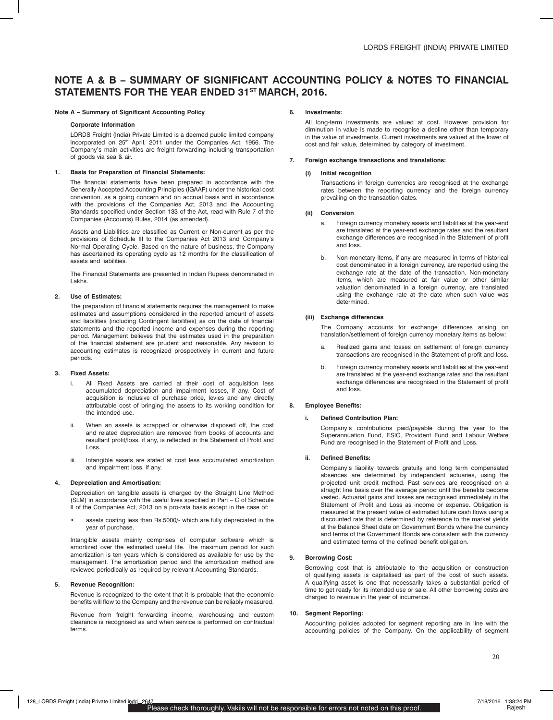# **Note A & B – Summary of Significant Accounting Policy & Notes to Financial StatementS for the year ended 31st March, 2016.**

#### **Note A – Summary of Significant Accounting Policy**

#### **Corporate Information**

LORDS Freight (India) Private Limited is a deemed public limited company incorporated on 25<sup>th</sup> April, 2011 under the Companies Act, 1956. The Company's main activities are freight forwarding including transportation of goods via sea & air.

#### **1. Basis for Preparation of Financial Statements:**

The financial statements have been prepared in accordance with the Generally Accepted Accounting Principles (IGAAP) under the historical cost convention, as a going concern and on accrual basis and in accordance with the provisions of the Companies Act, 2013 and the Accounting Standards specified under Section 133 of the Act, read with Rule 7 of the Companies (Accounts) Rules, 2014 (as amended).

Assets and Liabilities are classified as Current or Non-current as per the provisions of Schedule III to the Companies Act 2013 and Company's Normal Operating Cycle. Based on the nature of business, the Company has ascertained its operating cycle as 12 months for the classification of assets and liabilities.

The Financial Statements are presented in Indian Rupees denominated in Lakhs.

#### **2. Use of Estimates:**

The preparation of financial statements requires the management to make estimates and assumptions considered in the reported amount of assets and liabilities (including Contingent liabilities) as on the date of financial statements and the reported income and expenses during the reporting period. Management believes that the estimates used in the preparation of the financial statement are prudent and reasonable. Any revision to accounting estimates is recognized prospectively in current and future periods.

#### **3. Fixed Assets:**

- i. All Fixed Assets are carried at their cost of acquisition less accumulated depreciation and impairment losses, if any. Cost of acquisition is inclusive of purchase price, levies and any directly attributable cost of bringing the assets to its working condition for the intended use.
- ii. When an assets is scrapped or otherwise disposed off, the cost and related depreciation are removed from books of accounts and resultant profit/loss, if any, is reflected in the Statement of Profit and Loss.
- iii. Intangible assets are stated at cost less accumulated amortization and impairment loss, if any.

#### **4. Depreciation and Amortisation:**

Depreciation on tangible assets is charged by the Straight Line Method (SLM) in accordance with the useful lives specified in Part – C of Schedule II of the Companies Act, 2013 on a pro-rata basis except in the case of:

assets costing less than Rs.5000/- which are fully depreciated in the year of purchase.

Intangible assets mainly comprises of computer software which is amortized over the estimated useful life. The maximum period for such amortization is ten years which is considered as available for use by the management. The amortization period and the amortization method are reviewed periodically as required by relevant Accounting Standards.

#### **5. Revenue Recognition:**

Revenue is recognized to the extent that it is probable that the economic benefits will flow to the Company and the revenue can be reliably measured.

Revenue from freight forwarding income, warehousing and custom clearance is recognised as and when service is performed on contractual terms.

#### **6. Investments:**

All long-term investments are valued at cost. However provision for diminution in value is made to recognise a decline other than temporary in the value of investments. Current investments are valued at the lower of cost and fair value, determined by category of investment.

#### **7. Foreign exchange transactions and translations:**

#### **(i) Initial recognition**

Transactions in foreign currencies are recognised at the exchange rates between the reporting currency and the foreign currency prevailing on the transaction dates.

#### **(ii) Conversion**

- a. Foreign currency monetary assets and liabilities at the year-end are translated at the year-end exchange rates and the resultant exchange differences are recognised in the Statement of profit and loss.
- b. Non-monetary items, if any are measured in terms of historical cost denominated in a foreign currency, are reported using the exchange rate at the date of the transaction. Non-monetary items, which are measured at fair value or other similar valuation denominated in a foreign currency, are translated using the exchange rate at the date when such value was determined.

#### **(iii) Exchange differences**

The Company accounts for exchange differences arising on translation/settlement of foreign currency monetary items as below:

- a. Realized gains and losses on settlement of foreign currency transactions are recognised in the Statement of profit and loss.
- b. Foreign currency monetary assets and liabilities at the year-end are translated at the year-end exchange rates and the resultant exchange differences are recognised in the Statement of profit and loss.

#### **8. Employee Benefits:**

#### **i. Defined Contribution Plan:**

Company's contributions paid/payable during the year to the Superannuation Fund, ESIC, Provident Fund and Labour Welfare Fund are recognised in the Statement of Profit and Loss.

#### **ii. Defined Benefits:**

Company's liability towards gratuity and long term compensated absences are determined by independent actuaries, using the projected unit credit method. Past services are recognised on a straight line basis over the average period until the benefits become vested. Actuarial gains and losses are recognised immediately in the Statement of Profit and Loss as income or expense. Obligation is measured at the present value of estimated future cash flows using a discounted rate that is determined by reference to the market yields at the Balance Sheet date on Government Bonds where the currency and terms of the Government Bonds are consistent with the currency and estimated terms of the defined benefit obligation.

#### **9. Borrowing Cost:**

Borrowing cost that is attributable to the acquisition or construction of qualifying assets is capitalised as part of the cost of such assets. A qualifying asset is one that necessarily takes a substantial period of time to get ready for its intended use or sale. All other borrowing costs are charged to revenue in the year of incurrence.

#### **10. Segment Reporting:**

Accounting policies adopted for segment reporting are in line with the accounting policies of the Company. On the applicability of segment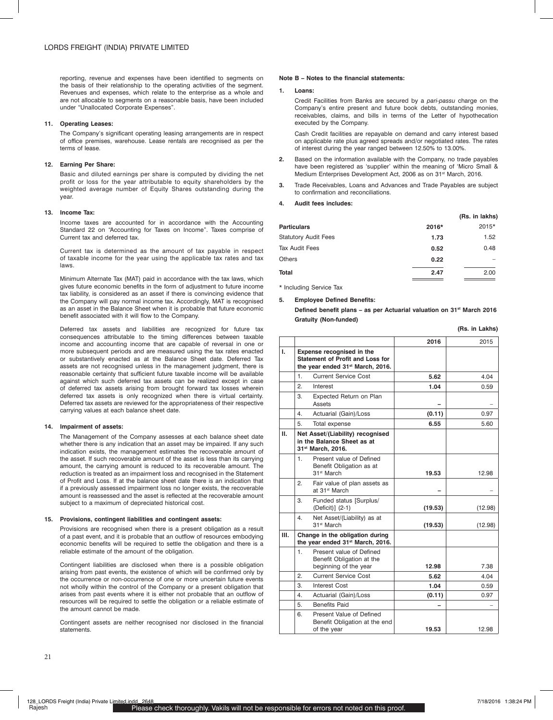reporting, revenue and expenses have been identified to segments on the basis of their relationship to the operating activities of the segment. Revenues and expenses, which relate to the enterprise as a whole and are not allocable to segments on a reasonable basis, have been included under "Unallocated Corporate Expenses".

#### **11. Operating Leases:**

The Company's significant operating leasing arrangements are in respect of office premises, warehouse. Lease rentals are recognised as per the terms of lease.

#### **12. Earning Per Share:**

Basic and diluted earnings per share is computed by dividing the net profit or loss for the year attributable to equity shareholders by the weighted average number of Equity Shares outstanding during the year.

#### **13. Income Tax:**

Income taxes are accounted for in accordance with the Accounting Standard 22 on "Accounting for Taxes on Income". Taxes comprise of Current tax and deferred tax.

Current tax is determined as the amount of tax payable in respect of taxable income for the year using the applicable tax rates and tax laws.

Minimum Alternate Tax (MAT) paid in accordance with the tax laws, which gives future economic benefits in the form of adjustment to future income tax liability, is considered as an asset if there is convincing evidence that the Company will pay normal income tax. Accordingly, MAT is recognised as an asset in the Balance Sheet when it is probable that future economic benefit associated with it will flow to the Company.

Deferred tax assets and liabilities are recognized for future tax consequences attributable to the timing differences between taxable income and accounting income that are capable of reversal in one or more subsequent periods and are measured using the tax rates enacted or substantively enacted as at the Balance Sheet date. Deferred Tax assets are not recognised unless in the management judgment, there is reasonable certainty that sufficient future taxable income will be available against which such deferred tax assets can be realized except in case of deferred tax assets arising from brought forward tax losses wherein deferred tax assets is only recognized when there is virtual certainty. Deferred tax assets are reviewed for the appropriateness of their respective carrying values at each balance sheet date.

#### **14. Impairment of assets:**

The Management of the Company assesses at each balance sheet date whether there is any indication that an asset may be impaired. If any such indication exists, the management estimates the recoverable amount of the asset. If such recoverable amount of the asset is less than its carrying amount, the carrying amount is reduced to its recoverable amount. The reduction is treated as an impairment loss and recognised in the Statement of Profit and Loss. If at the balance sheet date there is an indication that if a previously assessed impairment loss no longer exists, the recoverable amount is reassessed and the asset is reflected at the recoverable amount subject to a maximum of depreciated historical cost.

#### **15. Provisions, contingent liabilities and contingent assets:**

Provisions are recognised when there is a present obligation as a result of a past event, and it is probable that an outflow of resources embodying economic benefits will be required to settle the obligation and there is a reliable estimate of the amount of the obligation.

Contingent liabilities are disclosed when there is a possible obligation arising from past events, the existence of which will be confirmed only by the occurrence or non-occurrence of one or more uncertain future events not wholly within the control of the Company or a present obligation that arises from past events where it is either not probable that an outflow of resources will be required to settle the obligation or a reliable estimate of the amount cannot be made.

Contingent assets are neither recognised nor disclosed in the financial statements.

#### **Note B – Notes to the financial statements:**

#### **1. Loans:**

Credit Facilities from Banks are secured by a *pari-passu* charge on the Company's entire present and future book debts, outstanding monies, receivables, claims, and bills in terms of the Letter of hypothecation executed by the Company.

Cash Credit facilities are repayable on demand and carry interest based on applicable rate plus agreed spreads and/or negotiated rates. The rates of interest during the year ranged between 12.50% to 13.00%.

- **2.** Based on the information available with the Company, no trade payables have been registered as 'supplier' within the meaning of 'Micro Small & Medium Enterprises Development Act, 2006 as on 31<sup>st</sup> March, 2016.
- **3.** Trade Receivables, Loans and Advances and Trade Payables are subject to confirmation and reconciliations.

#### **4. Audit fees includes:**

|                             |       | (Rs. in lakhs) |
|-----------------------------|-------|----------------|
| <b>Particulars</b>          | 2016* | 2015*          |
| <b>Statutory Audit Fees</b> | 1.73  | 1.52           |
| Tax Audit Fees              | 0.52  | 0.48           |
| Others                      | 0.22  |                |
| Total                       | 2.47  | 2.00           |

\* Including Service Tax

#### **5. Employee Defined Benefits:**

**Defined benefit plans – as per Actuarial valuation on 31st March 2016 Gratuity (Non-funded)**

|  |  | (Rs. in Lakhs) |
|--|--|----------------|
|--|--|----------------|

|      |                                                                                                               | 2016    | 2015    |
|------|---------------------------------------------------------------------------------------------------------------|---------|---------|
| I.   | Expense recognised in the<br>Statement of Profit and Loss for<br>the year ended 31 <sup>st</sup> March, 2016. |         |         |
|      | <b>Current Service Cost</b><br>1.                                                                             | 5.62    | 4.04    |
|      | $\overline{2}$ .<br>Interest                                                                                  | 1.04    | 0.59    |
|      | 3.<br>Expected Return on Plan<br>Assets                                                                       |         |         |
|      | 4.<br>Actuarial (Gain)/Loss                                                                                   | (0.11)  | 0.97    |
|      | 5.<br>Total expense                                                                                           | 6.55    | 5.60    |
| н.   | Net Asset/(Liability) recognised<br>in the Balance Sheet as at<br>31st March, 2016.                           |         |         |
|      | Present value of Defined<br>1.<br>Benefit Obligation as at<br>31 <sup>st</sup> March                          | 19.53   | 12.98   |
|      | 2.<br>Fair value of plan assets as<br>at 31 <sup>st</sup> March                                               |         |         |
|      | 3.<br>Funded status [Surplus/<br>(Deficit)] (2-1)                                                             | (19.53) | (12.98) |
|      | 4.<br>Net Asset/(Liability) as at<br>31 <sup>st</sup> March                                                   | (19.53) | (12.98) |
| III. | Change in the obligation during<br>the year ended 31 <sup>st</sup> March, 2016.                               |         |         |
|      | Present value of Defined<br>1.<br>Benefit Obligation at the<br>beginning of the year                          | 12.98   | 7.38    |
|      | <b>Current Service Cost</b><br>2.                                                                             | 5.62    | 4.04    |
|      | 3.<br><b>Interest Cost</b>                                                                                    | 1.04    | 0.59    |
|      | Actuarial (Gain)/Loss<br>4.                                                                                   | (0.11)  | 0.97    |
|      | 5.<br><b>Benefits Paid</b>                                                                                    |         |         |
|      | 6.<br>Present Value of Defined<br>Benefit Obligation at the end<br>of the year                                | 19.53   | 12.98   |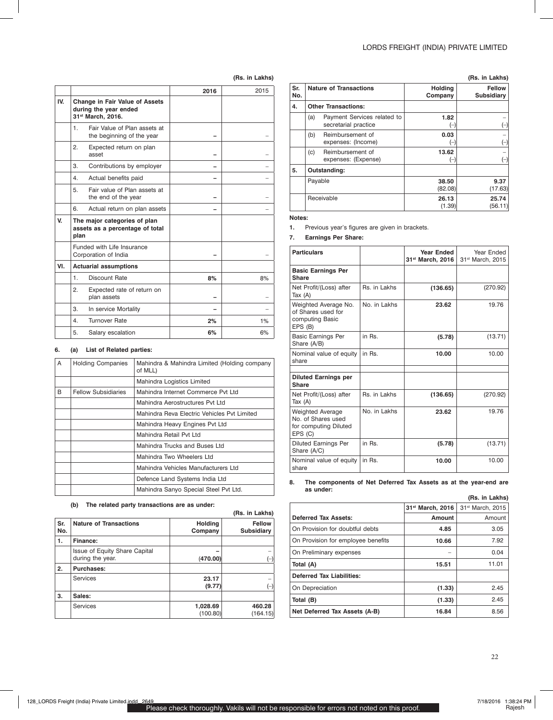#### **(Rs. in Lakhs)**

|                                                                                     | 2016 | 2015 |
|-------------------------------------------------------------------------------------|------|------|
| <b>Change in Fair Value of Assets</b><br>during the year ended<br>31st March, 2016. |      |      |
| Fair Value of Plan assets at<br>1.<br>the beginning of the year                     |      |      |
| Expected return on plan<br>2.<br>asset                                              |      |      |
| 3.<br>Contributions by employer                                                     |      |      |
| Actual benefits paid<br>4.                                                          |      |      |
| 5.<br>Fair value of Plan assets at<br>the end of the year                           |      |      |
| 6.<br>Actual return on plan assets                                                  |      |      |
| The major categories of plan<br>assets as a percentage of total<br>plan             |      |      |
| Funded with Life Insurance<br>Corporation of India                                  |      |      |
| <b>Actuarial assumptions</b>                                                        |      |      |
| <b>Discount Rate</b><br>1.                                                          | 8%   | 8%   |
| 2.<br>Expected rate of return on<br>plan assets                                     |      |      |
| 3.<br>In service Mortality                                                          |      |      |
| <b>Turnover Rate</b><br>4.                                                          | 2%   | 1%   |
| 5.<br>Salary escalation                                                             | 6%   | 6%   |
|                                                                                     |      |      |

#### **6. (a) List of Related parties:**

| A | <b>Holding Companies</b>   | Mahindra & Mahindra Limited (Holding company<br>of MLL) |
|---|----------------------------|---------------------------------------------------------|
|   |                            | Mahindra Logistics Limited                              |
| B | <b>Fellow Subsidiaries</b> | Mahindra Internet Commerce Pyt Ltd                      |
|   |                            | Mahindra Aerostructures Pvt Ltd                         |
|   |                            | Mahindra Reva Electric Vehicles Pyt Limited             |
|   |                            | Mahindra Heavy Engines Pvt Ltd                          |
|   |                            | Mahindra Retail Pvt Ltd                                 |
|   |                            | Mahindra Trucks and Buses Ltd                           |
|   |                            | Mahindra Two Wheelers Ltd                               |
|   |                            | Mahindra Vehicles Manufacturers Ltd                     |
|   |                            | Defence Land Systems India Ltd                          |
|   |                            | Mahindra Sanyo Special Steel Pvt Ltd.                   |

#### **(b) The related party transactions are as under:**

|            | (Rs. in Lakhs)                                           |                           |                                    |  |  |
|------------|----------------------------------------------------------|---------------------------|------------------------------------|--|--|
| Sr.<br>No. | <b>Nature of Transactions</b>                            | <b>Holding</b><br>Company | <b>Fellow</b><br><b>Subsidiary</b> |  |  |
| 1.         | Finance:                                                 |                           |                                    |  |  |
|            | <b>Issue of Equity Share Capital</b><br>during the year. | (470.00)                  |                                    |  |  |
| 2.         | <b>Purchases:</b>                                        |                           |                                    |  |  |
|            | Services                                                 | 23.17<br>(9.77)           |                                    |  |  |
| 3.         | Sales:                                                   |                           |                                    |  |  |
|            | <b>Services</b>                                          | 1,028.69<br>(100.80)      | 460.28<br>(164.15)                 |  |  |

|            |                                                             |                                                     |                           | (Rs. in Lakhs)                     |
|------------|-------------------------------------------------------------|-----------------------------------------------------|---------------------------|------------------------------------|
| Sr.<br>No. | <b>Nature of Transactions</b><br><b>Other Transactions:</b> |                                                     | <b>Holding</b><br>Company | <b>Fellow</b><br><b>Subsidiary</b> |
| 4.         |                                                             |                                                     |                           |                                    |
|            | (a)                                                         | Payment Services related to<br>secretarial practice | 1.82<br>$(-)$             | $(-)$                              |
|            | (b)                                                         | Reimbursement of<br>expenses: (Income)              | 0.03<br>(–)               | $(-)$                              |
|            | (c)                                                         | Reimbursement of<br>expenses: (Expense)             | 13.62<br>$(-)$            | $(-)$                              |
| 5.         |                                                             | Outstanding:                                        |                           |                                    |
|            |                                                             | Payable                                             | 38.50<br>(82.08)          | 9.37<br>(17.63)                    |
|            |                                                             | Receivable                                          | 26.13<br>(1.39)           | 25.74<br>(56.11)                   |

#### **Notes:**

**1.** Previous year's figures are given in brackets.

#### **7. Earnings Per Share:**

| <b>Particulars</b>                                                                |              | <b>Year Ended</b><br>31st March, 2016 | Year Ended<br>31 <sup>st</sup> March, 2015 |
|-----------------------------------------------------------------------------------|--------------|---------------------------------------|--------------------------------------------|
| <b>Basic Earnings Per</b><br>Share                                                |              |                                       |                                            |
| Net Profit/(Loss) after<br>Tax $(A)$                                              | Rs. in Lakhs | (136.65)                              | (270.92)                                   |
| Weighted Average No.<br>of Shares used for<br>computing Basic<br>EPS (B)          | No in Lakhs  | 23.62                                 | 19.76                                      |
| <b>Basic Earnings Per</b><br>Share (A/B)                                          | in Rs        | (5.78)                                | (13.71)                                    |
| Nominal value of equity<br>share                                                  | in Rs.       | 10.00                                 | 10.00                                      |
| <b>Diluted Earnings per</b><br><b>Share</b>                                       |              |                                       |                                            |
| Net Profit/(Loss) after<br>Tax $(A)$                                              | Rs. in Lakhs | (136.65)                              | (270.92)                                   |
| <b>Weighted Average</b><br>No. of Shares used<br>for computing Diluted<br>EPS (C) | No. in Lakhs | 23.62                                 | 19.76                                      |
| <b>Diluted Earnings Per</b><br>Share (A/C)                                        | in Rs.       | (5.78)                                | (13.71)                                    |
| Nominal value of equity<br>share                                                  | in Rs.       | 10.00                                 | 10.00                                      |

#### **8. The components of Net Deferred Tax Assets as at the year-end are as under: (Rs. in Lakhs)**

|                                    | (RS. IN LAKNS)   |                              |  |  |
|------------------------------------|------------------|------------------------------|--|--|
|                                    | 31st March, 2016 | 31 <sup>st</sup> March, 2015 |  |  |
| Deferred Tax Assets:               | <b>Amount</b>    | Amount                       |  |  |
| On Provision for doubtful debts    | 4.85             | 3.05                         |  |  |
| On Provision for employee benefits | 10.66            | 7.92                         |  |  |
| On Preliminary expenses            |                  | 0.04                         |  |  |
| Total (A)                          | 15.51            | 11.01                        |  |  |
| <b>Deferred Tax Liabilities:</b>   |                  |                              |  |  |
| On Depreciation                    | (1.33)           | 2.45                         |  |  |
| Total (B)                          | (1.33)           | 2.45                         |  |  |
| Net Deferred Tax Assets (A-B)      | 16.84            | 8.56                         |  |  |